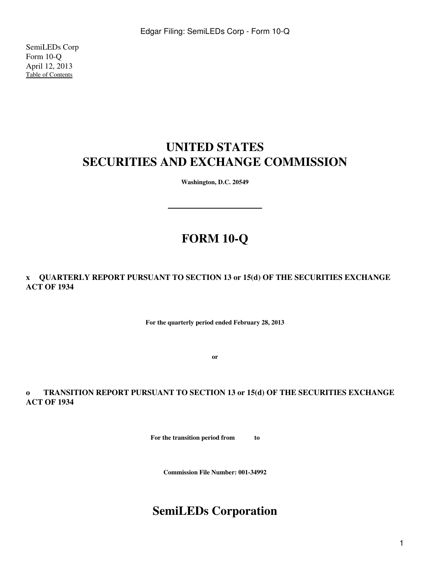SemiLEDs Corp Form 10-Q April 12, 2013 [Table of Contents](#page-2-0)

# **UNITED STATES SECURITIES AND EXCHANGE COMMISSION**

**Washington, D.C. 20549**

# **FORM 10-Q**

**x QUARTERLY REPORT PURSUANT TO SECTION 13 or 15(d) OF THE SECURITIES EXCHANGE ACT OF 1934**

**For the quarterly period ended February 28, 2013**

**or**

**o TRANSITION REPORT PURSUANT TO SECTION 13 or 15(d) OF THE SECURITIES EXCHANGE ACT OF 1934**

**For the transition period from to** 

**Commission File Number: 001-34992**

# **SemiLEDs Corporation**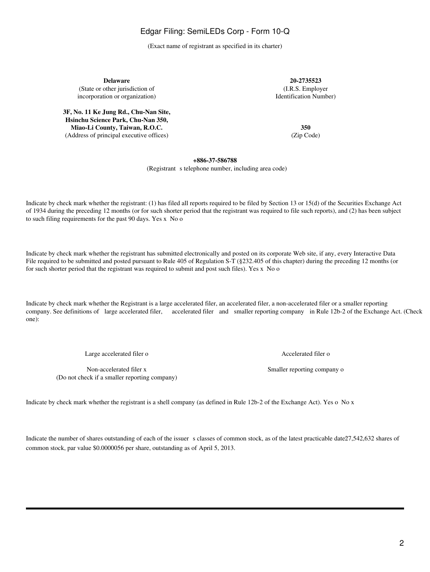(Exact name of registrant as specified in its charter)

**Delaware 20-2735523** (State or other jurisdiction of (I.R.S. Employer incorporation or organization) and the state of the state of the Identification Number) incorporation or organization)

**3F, No. 11 Ke Jung Rd., Chu-Nan Site, Hsinchu Science Park, Chu-Nan 350, Miao-Li County, Taiwan, R.O.C.** 350<br>Address of principal executive offices) (Zip Code) (Zip Code) (Address of principal executive offices)

### **+886-37-586788**

(Registrant s telephone number, including area code)

Indicate by check mark whether the registrant: (1) has filed all reports required to be filed by Section 13 or 15(d) of the Securities Exchange Act of 1934 during the preceding 12 months (or for such shorter period that the registrant was required to file such reports), and (2) has been subject to such filing requirements for the past 90 days. Yes x No o

Indicate by check mark whether the registrant has submitted electronically and posted on its corporate Web site, if any, every Interactive Data File required to be submitted and posted pursuant to Rule 405 of Regulation S-T (§232.405 of this chapter) during the preceding 12 months (or for such shorter period that the registrant was required to submit and post such files). Yes x No o

Indicate by check mark whether the Registrant is a large accelerated filer, an accelerated filer, a non-accelerated filer or a smaller reporting company. See definitions of large accelerated filer, accelerated filer and smaller reporting company in Rule 12b-2 of the Exchange Act. (Check one):

Large accelerated filer o Accelerated filer o

Non-accelerated filer x Smaller reporting company on Smaller reporting company on Smaller reporting company on Smaller reporting company on Smaller reporting company on  $\mathbb{R}^n$ (Do not check if a smaller reporting company)

Indicate by check mark whether the registrant is a shell company (as defined in Rule 12b-2 of the Exchange Act). Yes o No x

Indicate the number of shares outstanding of each of the issuer s classes of common stock, as of the latest practicable date 27,542,632 shares of common stock, par value \$0.0000056 per share, outstanding as of April 5, 2013.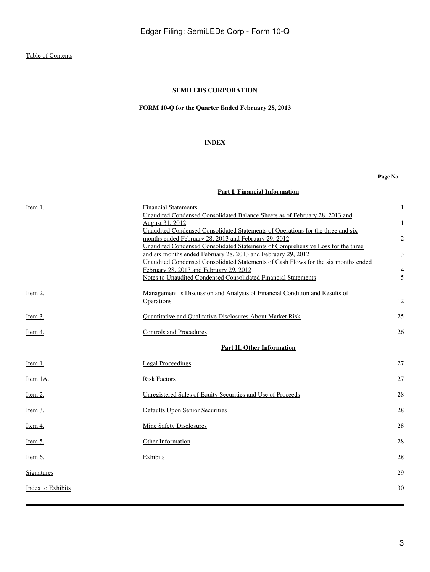### **SEMILEDS CORPORATION**

### **FORM 10-Q for the Quarter Ended February 28, 2013**

### **INDEX**

**Page No.**

|  |  |  |  | Part I. Financial Information |
|--|--|--|--|-------------------------------|
|--|--|--|--|-------------------------------|

<span id="page-2-0"></span>

| Item 1.           | <b>Financial Statements</b>                                                        | 1              |
|-------------------|------------------------------------------------------------------------------------|----------------|
|                   | Unaudited Condensed Consolidated Balance Sheets as of February 28, 2013 and        |                |
|                   | August 31, 2012                                                                    | $\mathbf{1}$   |
|                   | Unaudited Condensed Consolidated Statements of Operations for the three and six    |                |
|                   | months ended February 28, 2013 and February 29, 2012                               | $\overline{2}$ |
|                   | Unaudited Condensed Consolidated Statements of Comprehensive Loss for the three    |                |
|                   | and six months ended February 28, 2013 and February 29, 2012                       | 3              |
|                   | Unaudited Condensed Consolidated Statements of Cash Flows for the six months ended |                |
|                   | February 28, 2013 and February 29, 2012                                            | $\overline{4}$ |
|                   | Notes to Unaudited Condensed Consolidated Financial Statements                     | 5              |
| Item 2.           | Management s Discussion and Analysis of Financial Condition and Results of         |                |
|                   | Operations                                                                         | 12             |
|                   |                                                                                    |                |
| Item $3$ .        | Quantitative and Qualitative Disclosures About Market Risk                         | 25             |
|                   |                                                                                    |                |
| Item 4.           | <b>Controls and Procedures</b>                                                     | 26             |
|                   |                                                                                    |                |
|                   | Part II. Other Information                                                         |                |
| Item 1.           | <b>Legal Proceedings</b>                                                           | 27             |
|                   |                                                                                    |                |
| Item 1A.          | <b>Risk Factors</b>                                                                | 27             |
|                   |                                                                                    |                |
| Item $2$ .        | Unregistered Sales of Equity Securities and Use of Proceeds                        | 28             |
|                   |                                                                                    |                |
| <u>Item 3.</u>    | Defaults Upon Senior Securities                                                    | 28             |
|                   |                                                                                    | 28             |
| Item 4.           | <b>Mine Safety Disclosures</b>                                                     |                |
| <u>Item 5.</u>    | Other Information                                                                  | 28             |
|                   |                                                                                    |                |
| Item 6.           | Exhibits                                                                           | 28             |
|                   |                                                                                    |                |
| <b>Signatures</b> |                                                                                    | 29             |
|                   |                                                                                    |                |
| Index to Exhibits |                                                                                    | 30             |
|                   |                                                                                    |                |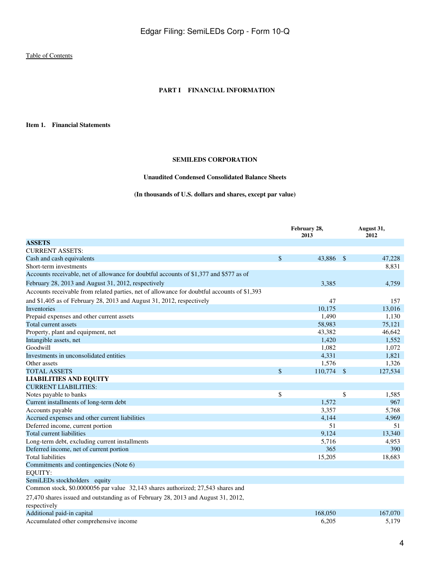### **PART I FINANCIAL INFORMATION**

<span id="page-3-2"></span><span id="page-3-1"></span><span id="page-3-0"></span>**Item 1. Financial Statements**

### **SEMILEDS CORPORATION**

### **Unaudited Condensed Consolidated Balance Sheets**

### **(In thousands of U.S. dollars and shares, except par value)**

|                                                                                             | February 28,<br>2013 | August 31,<br>2012 |
|---------------------------------------------------------------------------------------------|----------------------|--------------------|
| <b>ASSETS</b>                                                                               |                      |                    |
| <b>CURRENT ASSETS:</b>                                                                      |                      |                    |
| Cash and cash equivalents                                                                   | \$<br>43,886 \$      | 47,228             |
| Short-term investments                                                                      |                      | 8,831              |
| Accounts receivable, net of allowance for doubtful accounts of \$1,377 and \$577 as of      |                      |                    |
| February 28, 2013 and August 31, 2012, respectively                                         | 3,385                | 4,759              |
| Accounts receivable from related parties, net of allowance for doubtful accounts of \$1,393 |                      |                    |
| and \$1,405 as of February 28, 2013 and August 31, 2012, respectively                       | 47                   | 157                |
| Inventories                                                                                 | 10,175               | 13,016             |
| Prepaid expenses and other current assets                                                   | 1,490                | 1,130              |
| Total current assets                                                                        | 58,983               | 75,121             |
| Property, plant and equipment, net                                                          | 43,382               | 46,642             |
| Intangible assets, net                                                                      | 1,420                | 1,552              |
| Goodwill                                                                                    | 1,082                | 1,072              |
| Investments in unconsolidated entities                                                      | 4,331                | 1,821              |
| Other assets                                                                                | 1,576                | 1,326              |
| <b>TOTAL ASSETS</b>                                                                         | \$<br>110,774 \$     | 127,534            |
| <b>LIABILITIES AND EQUITY</b>                                                               |                      |                    |
| <b>CURRENT LIABILITIES:</b>                                                                 |                      |                    |
| Notes payable to banks                                                                      | \$                   | \$<br>1,585        |
| Current installments of long-term debt                                                      | 1.572                | 967                |
| Accounts payable                                                                            | 3,357                | 5,768              |
| Accrued expenses and other current liabilities                                              | 4,144                | 4,969              |
| Deferred income, current portion                                                            | 51                   | 51                 |
| <b>Total current liabilities</b>                                                            | 9,124                | 13,340             |
| Long-term debt, excluding current installments                                              | 5,716                | 4,953              |
| Deferred income, net of current portion                                                     | 365                  | 390                |
| <b>Total liabilities</b>                                                                    | 15,205               | 18,683             |
| Commitments and contingencies (Note 6)                                                      |                      |                    |
| <b>EQUITY:</b>                                                                              |                      |                    |
| SemiLEDs stockholders equity                                                                |                      |                    |
| Common stock, \$0.0000056 par value 32,143 shares authorized; 27,543 shares and             |                      |                    |
| 27,470 shares issued and outstanding as of February 28, 2013 and August 31, 2012,           |                      |                    |
| respectively                                                                                |                      |                    |
| Additional paid-in capital                                                                  | 168,050              | 167,070            |
| Accumulated other comprehensive income                                                      | 6,205                | 5,179              |

Accumulated other comprehensive income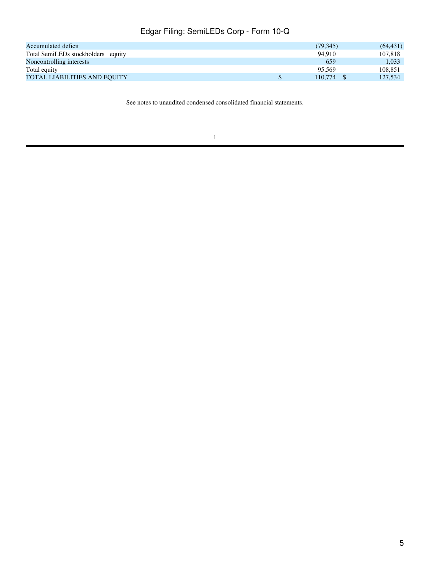| Accumulated deficit                 | (79, 345) | (64, 431) |
|-------------------------------------|-----------|-----------|
| Total SemiLEDs stockholders equity  | 94.910    | 107.818   |
| Noncontrolling interests            | 659       | 1.033     |
| Total equity                        | 95.569    | 108.851   |
| <b>TOTAL LIABILITIES AND EQUITY</b> | 110.774   | 127,534   |

See notes to unaudited condensed consolidated financial statements.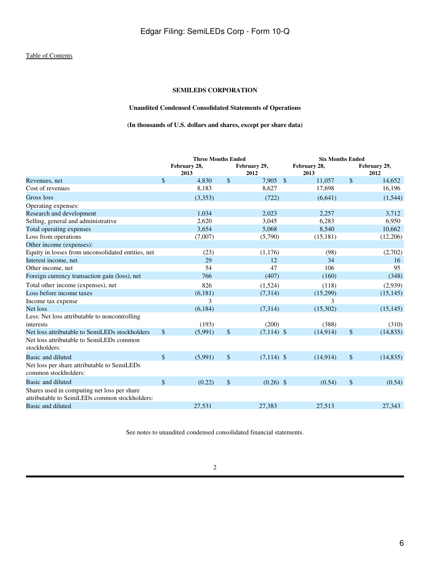### **SEMILEDS CORPORATION**

### **Unaudited Condensed Consolidated Statements of Operations**

**(In thousands of U.S. dollars and shares, except per share data)**

<span id="page-5-0"></span>

|                                                                                              |                           | <b>Three Months Ended</b> |    |                      |               | <b>Six Months Ended</b> |            |                      |  |
|----------------------------------------------------------------------------------------------|---------------------------|---------------------------|----|----------------------|---------------|-------------------------|------------|----------------------|--|
|                                                                                              |                           | February 28,<br>2013      |    | February 29,<br>2012 |               | February 28,<br>2013    |            | February 29,<br>2012 |  |
| Revenues, net                                                                                | \$                        | 4,830                     | \$ | 7,905                | $\mathcal{S}$ | 11,057                  | $\sqrt{3}$ | 14,652               |  |
| Cost of revenues                                                                             |                           | 8,183                     |    | 8,627                |               | 17,698                  |            | 16,196               |  |
| Gross loss                                                                                   |                           | (3,353)                   |    | (722)                |               | (6,641)                 |            | (1, 544)             |  |
| Operating expenses:                                                                          |                           |                           |    |                      |               |                         |            |                      |  |
| Research and development                                                                     |                           | 1,034                     |    | 2,023                |               | 2,257                   |            | 3,712                |  |
| Selling, general and administrative                                                          |                           | 2,620                     |    | 3,045                |               | 6,283                   |            | 6,950                |  |
| Total operating expenses                                                                     |                           | 3,654                     |    | 5,068                |               | 8,540                   |            | 10,662               |  |
| Loss from operations                                                                         |                           | (7,007)                   |    | (5,790)              |               | (15, 181)               |            | (12,206)             |  |
| Other income (expenses):                                                                     |                           |                           |    |                      |               |                         |            |                      |  |
| Equity in losses from unconsolidated entities, net                                           |                           | (23)                      |    | (1,176)              |               | (98)                    |            | (2,702)              |  |
| Interest income, net                                                                         |                           | 29                        |    | 12                   |               | 34                      |            | 16                   |  |
| Other income, net                                                                            |                           | 54                        |    | 47                   |               | 106                     |            | 95                   |  |
| Foreign currency transaction gain (loss), net                                                |                           | 766                       |    | (407)                |               | (160)                   |            | (348)                |  |
| Total other income (expenses), net                                                           |                           | 826                       |    | (1,524)              |               | (118)                   |            | (2,939)              |  |
| Loss before income taxes                                                                     |                           | (6,181)                   |    | (7,314)              |               | (15,299)                |            | (15, 145)            |  |
| Income tax expense                                                                           |                           | 3                         |    |                      |               | 3                       |            |                      |  |
| Net loss                                                                                     |                           | (6, 184)                  |    | (7,314)              |               | (15,302)                |            | (15, 145)            |  |
| Less: Net loss attributable to noncontrolling<br>interests                                   |                           | (193)                     |    | (200)                |               | (388)                   |            | (310)                |  |
| Net loss attributable to SemiLEDs stockholders                                               | \$                        | (5,991)                   | \$ | $(7,114)$ \$         |               | (14, 914)               | \$         | (14, 835)            |  |
| Net loss attributable to SemiLEDs common<br>stockholders:                                    |                           |                           |    |                      |               |                         |            |                      |  |
| Basic and diluted                                                                            | $\boldsymbol{\mathsf{S}}$ | (5,991)                   | \$ | $(7,114)$ \$         |               | (14,914)                | $\sqrt{3}$ | (14, 835)            |  |
| Net loss per share attributable to SemiLEDs<br>common stockholders:                          |                           |                           |    |                      |               |                         |            |                      |  |
| Basic and diluted                                                                            | $\mathbf{\hat{S}}$        | (0.22)                    | \$ | $(0.26)$ \$          |               | (0.54)                  | \$         | (0.54)               |  |
| Shares used in computing net loss per share<br>attributable to SemiLEDs common stockholders: |                           |                           |    |                      |               |                         |            |                      |  |
| Basic and diluted                                                                            |                           | 27,531                    |    | 27,383               |               | 27,513                  |            | 27,343               |  |
|                                                                                              |                           |                           |    |                      |               |                         |            |                      |  |

See notes to unaudited condensed consolidated financial statements.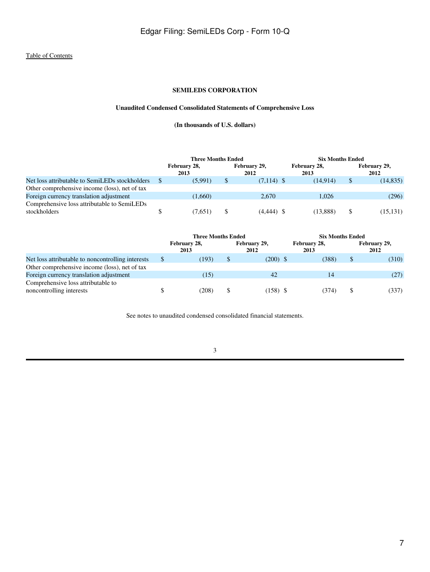### **SEMILEDS CORPORATION**

### **Unaudited Condensed Consolidated Statements of Comprehensive Loss**

**(In thousands of U.S. dollars)**

<span id="page-6-0"></span>

|                                                             | <b>Three Months Ended</b> |                      |  | <b>Six Months Ended</b> |                      |    |                      |
|-------------------------------------------------------------|---------------------------|----------------------|--|-------------------------|----------------------|----|----------------------|
|                                                             |                           | February 28,<br>2013 |  | February 29,<br>2012    | February 28,<br>2013 |    | February 29,<br>2012 |
| Net loss attributable to SemiLEDs stockholders              |                           | (5.991)              |  | $(7,114)$ \$            | (14.914)             | \$ | (14, 835)            |
| Other comprehensive income (loss), net of tax               |                           |                      |  |                         |                      |    |                      |
| Foreign currency translation adjustment                     |                           | (1,660)              |  | 2.670                   | 1.026                |    | (296)                |
| Comprehensive loss attributable to SemiLEDs<br>stockholders |                           | (7.651)              |  | $(4,444)$ \$            | (13.888)             | \$ | (15, 131)            |

|                                                                | <b>Three Months Ended</b> |                      |    | <b>Six Months Ended</b> |  |                      |    |                      |
|----------------------------------------------------------------|---------------------------|----------------------|----|-------------------------|--|----------------------|----|----------------------|
|                                                                |                           | February 28,<br>2013 |    | February 29,<br>2012    |  | February 28,<br>2013 |    | February 29,<br>2012 |
| Net loss attributable to noncontrolling interests              |                           | (193)                | \$ | $(200)$ \$              |  | (388)                | \$ | (310)                |
| Other comprehensive income (loss), net of tax                  |                           |                      |    |                         |  |                      |    |                      |
| Foreign currency translation adjustment                        |                           | (15)                 |    | 42                      |  | 14                   |    | (27)                 |
| Comprehensive loss attributable to<br>noncontrolling interests |                           | (208)                |    | $(158)$ \$              |  | (374)                |    | (337)                |

See notes to unaudited condensed consolidated financial statements.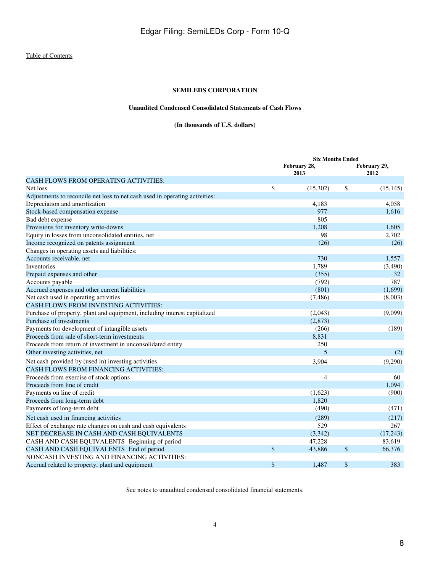### **SEMILEDS CORPORATION**

### **Unaudited Condensed Consolidated Statements of Cash Flows**

### **(In thousands of U.S. dollars)**

<span id="page-7-0"></span>

|                                                                             | <b>Six Months Ended</b> |                      |
|-----------------------------------------------------------------------------|-------------------------|----------------------|
|                                                                             | February 28,<br>2013    | February 29,<br>2012 |
| <b>CASH FLOWS FROM OPERATING ACTIVITIES:</b>                                |                         |                      |
| Net loss                                                                    | \$<br>(15,302)          | \$<br>(15, 145)      |
| Adjustments to reconcile net loss to net cash used in operating activities: |                         |                      |
| Depreciation and amortization                                               | 4,183                   | 4,058                |
| Stock-based compensation expense                                            | 977                     | 1,616                |
| Bad debt expense                                                            | 805                     |                      |
| Provisions for inventory write-downs                                        | 1,208                   | 1,605                |
| Equity in losses from unconsolidated entities, net                          | 98                      | 2,702                |
| Income recognized on patents assignment                                     | (26)                    | (26)                 |
| Changes in operating assets and liabilities:                                |                         |                      |
| Accounts receivable, net                                                    | 730                     | 1,557                |
| Inventories                                                                 | 1,789                   | (3,490)              |
| Prepaid expenses and other                                                  | (355)                   | 32                   |
| Accounts payable                                                            | (792)                   | 787                  |
| Accrued expenses and other current liabilities                              | (801)                   | (1,699)              |
| Net cash used in operating activities                                       | (7,486)                 | (8,003)              |
| <b>CASH FLOWS FROM INVESTING ACTIVITIES:</b>                                |                         |                      |
| Purchase of property, plant and equipment, including interest capitalized   | (2,043)                 | (9,099)              |
| Purchase of investments                                                     | (2,873)                 |                      |
| Payments for development of intangible assets                               | (266)                   | (189)                |
| Proceeds from sale of short-term investments                                | 8,831                   |                      |
| Proceeds from return of investment in unconsolidated entity                 | 250                     |                      |
| Other investing activities, net                                             | 5                       | (2)                  |
| Net cash provided by (used in) investing activities                         | 3,904                   | (9,290)              |
| CASH FLOWS FROM FINANCING ACTIVITIES:                                       |                         |                      |
| Proceeds from exercise of stock options                                     | $\overline{4}$          | 60                   |
| Proceeds from line of credit                                                |                         | 1.094                |
| Payments on line of credit                                                  | (1,623)                 | (900)                |
| Proceeds from long-term debt                                                | 1,820                   |                      |
| Payments of long-term debt                                                  | (490)                   | (471)                |
| Net cash used in financing activities                                       | (289)                   | (217)                |
| Effect of exchange rate changes on cash and cash equivalents                | 529                     | 267                  |
| NET DECREASE IN CASH AND CASH EQUIVALENTS                                   | (3,342)                 | (17,243)             |
| CASH AND CASH EQUIVALENTS Beginning of period                               | 47,228                  | 83,619               |
| CASH AND CASH EQUIVALENTS End of period                                     | \$<br>43,886            | \$<br>66,376         |
| NONCASH INVESTING AND FINANCING ACTIVITIES:                                 |                         |                      |
| Accrual related to property, plant and equipment                            | \$<br>1,487             | \$<br>383            |

See notes to unaudited condensed consolidated financial statements.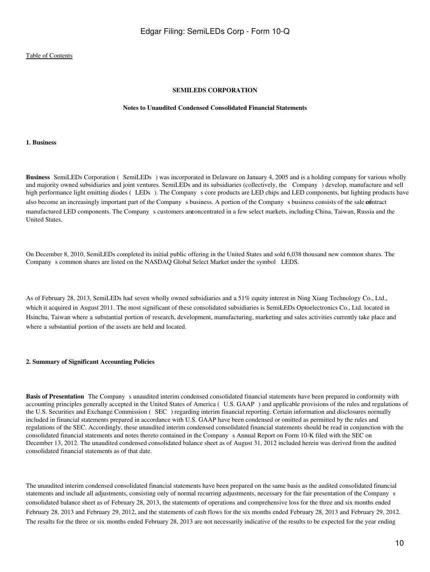### **SEMILEDS CORPORATION**

### **Notes to Unaudited Condensed Consolidated Financial Statements**

### <span id="page-9-0"></span>**1. Business**

**Business** SemiLEDs Corporation (SemiLEDs) was incorporated in Delaware on January 4, 2005 and is a holding company for various wholly and majority owned subsidiaries and joint ventures. SemiLEDs and its subsidiaries (collectively, the Company) develop, manufacture and sell high performance light emitting diodes (LEDs). The Company s core products are LED chips and LED components, but lighting products have also become an increasingly important part of the Company s business. A portion of the Company s business consists of the sale **co**ntract manufactured LED components. The Company s customers are oncentrated in a few select markets, including China, Taiwan, Russia and the United States.

On December 8, 2010, SemiLEDs completed its initial public offering in the United States and sold 6,038 thousand new common shares. The Company s common shares are listed on the NASDAQ Global Select Market under the symbol LEDS.

As of February 28, 2013, SemiLEDs had seven wholly owned subsidiaries and a 51% equity interest in Ning Xiang Technology Co., Ltd., which it acquired in August 2011. The most significant of these consolidated subsidiaries is SemiLEDs Optoelectronics Co., Ltd. located in Hsinchu, Taiwan where a substantial portion of research, development, manufacturing, marketing and sales activities currently take place and where a substantial portion of the assets are held and located.

#### **2. Summary of Significant Accounting Policies**

**Basis of Presentation** The Company s unaudited interim condensed consolidated financial statements have been prepared in conformity with accounting principles generally accepted in the United States of America (U.S. GAAP) and applicable provisions of the rules and regulations of the U.S. Securities and Exchange Commission (SEC) regarding interim financial reporting. Certain information and disclosures normally included in financial statements prepared in accordance with U.S. GAAP have been condensed or omitted as permitted by the rules and regulations of the SEC. Accordingly, these unaudited interim condensed consolidated financial statements should be read in conjunction with the consolidated financial statements and notes thereto contained in the Companys Annual Report on Form 10-K filed with the SEC on December 13, 2012. The unaudited condensed consolidated balance sheet as of August 31, 2012 included herein was derived from the audited consolidated financial statements as of that date.

The unaudited interim condensed consolidated financial statements have been prepared on the same basis as the audited consolidated financial statements and include all adjustments, consisting only of normal recurring adjustments, necessary for the fair presentation of the Companys consolidated balance sheet as of February 28, 2013, the statements of operations and comprehensive loss for the three and six months ended February 28, 2013 and February 29, 2012, and the statements of cash flows for the six months ended February 28, 2013 and February 29, 2012. The results for the three or six months ended February 28, 2013 are not necessarily indicative of the results to be expected for the year ending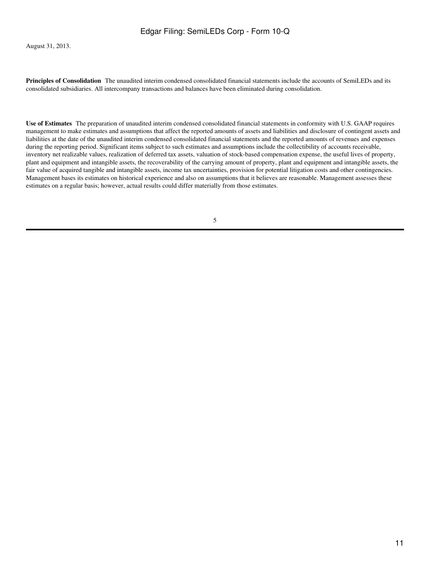August 31, 2013.

**Principles of Consolidation** The unaudited interim condensed consolidated financial statements include the accounts of SemiLEDs and its consolidated subsidiaries. All intercompany transactions and balances have been eliminated during consolidation.

**Use of Estimates**The preparation of unaudited interim condensed consolidated financial statements in conformity with U.S. GAAP requires management to make estimates and assumptions that affect the reported amounts of assets and liabilities and disclosure of contingent assets and liabilities at the date of the unaudited interim condensed consolidated financial statements and the reported amounts of revenues and expenses during the reporting period. Significant items subject to such estimates and assumptions include the collectibility of accounts receivable, inventory net realizable values, realization of deferred tax assets, valuation of stock-based compensation expense, the useful lives of property, plant and equipment and intangible assets, the recoverability of the carrying amount of property, plant and equipment and intangible assets, the fair value of acquired tangible and intangible assets, income tax uncertainties, provision for potential litigation costs and other contingencies. Management bases its estimates on historical experience and also on assumptions that it believes are reasonable. Management assesses these estimates on a regular basis; however, actual results could differ materially from those estimates.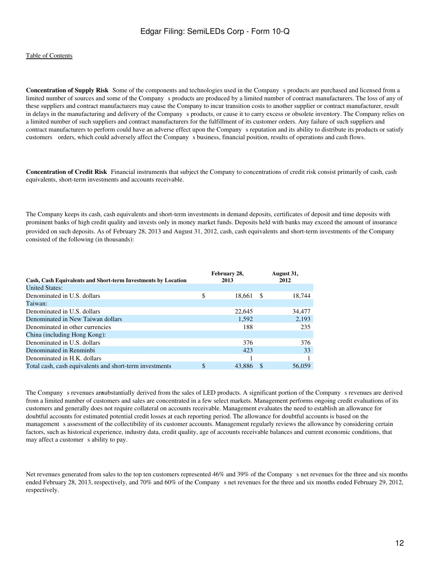**Concentration of Supply Risk** Some of the components and technologies used in the Company s products are purchased and licensed from a limited number of sources and some of the Company s products are produced by a limited number of contract manufacturers. The loss of any of these suppliers and contract manufacturers may cause the Company to incur transition costs to another supplier or contract manufacturer, result in delays in the manufacturing and delivery of the Company s products, or cause it to carry excess or obsolete inventory. The Company relies on a limited number of such suppliers and contract manufacturers for the fulfillment of its customer orders. Any failure of such suppliers and contract manufacturers to perform could have an adverse effect upon the Companys reputation and its ability to distribute its products or satisfy customers orders, which could adversely affect the Companys business, financial position, results of operations and cash flows.

**Concentration of Credit Risk** Financial instruments that subject the Company to concentrations of credit risk consist primarily of cash, cash equivalents, short-term investments and accounts receivable.

The Company keeps its cash, cash equivalents and short-term investments in demand deposits, certificates of deposit and time deposits with prominent banks of high credit quality and invests only in money market funds. Deposits held with banks may exceed the amount of insurance provided on such deposits. As of February 28, 2013 and August 31, 2012, cash, cash equivalents and short-term investments of the Company consisted of the following (in thousands):

|                                                               |    | February 28, |      | August 31, |  |
|---------------------------------------------------------------|----|--------------|------|------------|--|
| Cash, Cash Equivalents and Short-term Investments by Location |    | 2013         | 2012 |            |  |
| <b>United States:</b>                                         |    |              |      |            |  |
| Denominated in U.S. dollars                                   | \$ | 18,661       | - \$ | 18,744     |  |
| Taiwan:                                                       |    |              |      |            |  |
| Denominated in U.S. dollars                                   |    | 22,645       |      | 34,477     |  |
| Denominated in New Taiwan dollars                             |    | 1,592        |      | 2,193      |  |
| Denominated in other currencies                               |    | 188          |      | 235        |  |
| China (including Hong Kong):                                  |    |              |      |            |  |
| Denominated in U.S. dollars                                   |    | 376          |      | 376        |  |
| Denominated in Renminbi                                       |    | 423          |      | 33         |  |
| Denominated in H.K. dollars                                   |    |              |      |            |  |
| Total cash, cash equivalents and short-term investments       | \$ | 43,886       |      | 56,059     |  |

The Company s revenues are ubstantially derived from the sales of LED products. A significant portion of the Company s revenues are derived from a limited number of customers and sales are concentrated in a few select markets. Management performs ongoing credit evaluations of its customers and generally does not require collateral on accounts receivable. Management evaluates the need to establish an allowance for doubtful accounts for estimated potential credit losses at each reporting period. The allowance for doubtful accounts is based on the management s assessment of the collectibility of its customer accounts. Management regularly reviews the allowance by considering certain factors, such as historical experience, industry data, credit quality, age of accounts receivable balances and current economic conditions, that may affect a customer s ability to pay.

Net revenues generated from sales to the top ten customers represented 46% and 39% of the Companys net revenues for the three and six months ended February 28, 2013, respectively, and 70% and 60% of the Company s net revenues for the three and six months ended February 29, 2012, respectively.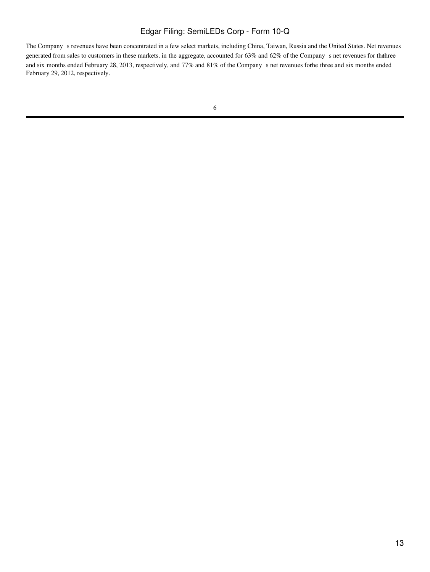The Company s revenues have been concentrated in a few select markets, including China, Taiwan, Russia and the United States. Net revenues generated from sales to customers in these markets, in the aggregate, accounted for 63% and 62% of the Company s net revenues for the hree and six months ended February 28, 2013, respectively, and 77% and 81% of the Company s net revenues forhe three and six months ended February 29, 2012, respectively.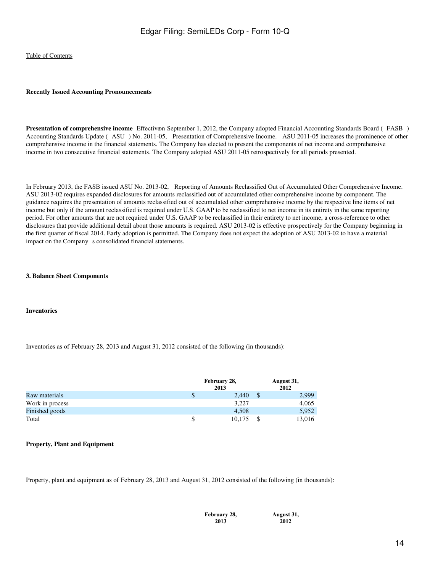#### **Recently Issued Accounting Pronouncements**

**Presentation of comprehensive income** Effectivon September 1, 2012, the Company adopted Financial Accounting Standards Board (FASB) Accounting Standards Update (ASU) No. 2011-05, Presentation of Comprehensive Income. ASU 2011-05 increases the prominence of other comprehensive income in the financial statements. The Company has elected to present the components of net income and comprehensive income in two consecutive financial statements. The Company adopted ASU 2011-05 retrospectively for all periods presented.

In February 2013, the FASB issued ASU No. 2013-02, Reporting of Amounts Reclassified Out of Accumulated Other Comprehensive Income. ASU 2013-02 requires expanded disclosures for amounts reclassified out of accumulated other comprehensive income by component. The guidance requires the presentation of amounts reclassified out of accumulated other comprehensive income by the respective line items of net income but only if the amount reclassified is required under U.S. GAAP to be reclassified to net income in its entirety in the same reporting period. For other amounts that are not required under U.S. GAAP to be reclassified in their entirety to net income, a cross-reference to other disclosures that provide additional detail about those amounts is required. ASU 2013-02 is effective prospectively for the Company beginning in the first quarter of fiscal 2014. Early adoption is permitted. The Company does not expect the adoption of ASU 2013-02 to have a material impact on the Company s consolidated financial statements.

#### **3. Balance Sheet Components**

#### **Inventories**

Inventories as of February 28, 2013 and August 31, 2012 consisted of the following (in thousands):

|                 | February 28,<br>2013 | August 31,<br>2012 |
|-----------------|----------------------|--------------------|
| Raw materials   | 2,440                | 2,999              |
| Work in process | 3.227                | 4,065              |
| Finished goods  | 4,508                | 5,952              |
| Total           | 10.175               | 13,016             |

### **Property, Plant and Equipment**

Property, plant and equipment as of February 28, 2013 and August 31, 2012 consisted of the following (in thousands):

**February 28, 2013**

**August 31, 2012**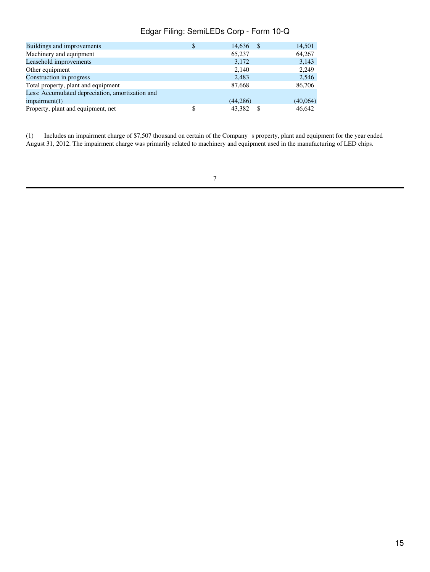| Buildings and improvements                       | 14,636<br>-\$ | 14,501   |
|--------------------------------------------------|---------------|----------|
| Machinery and equipment                          | 65,237        | 64,267   |
| Leasehold improvements                           | 3,172         | 3,143    |
| Other equipment                                  | 2.140         | 2.249    |
| Construction in progress                         | 2,483         | 2,546    |
| Total property, plant and equipment              | 87,668        | 86,706   |
| Less: Accumulated depreciation, amortization and |               |          |
| impairment(1)                                    | (44, 286)     | (40,064) |
| Property, plant and equipment, net               | 43,382<br>S   | 46,642   |
|                                                  |               |          |

(1) Includes an impairment charge of \$7,507 thousand on certain of the Companys property, plant and equipment for the year ended August 31, 2012. The impairment charge was primarily related to machinery and equipment used in the manufacturing of LED chips.

<sup>7</sup>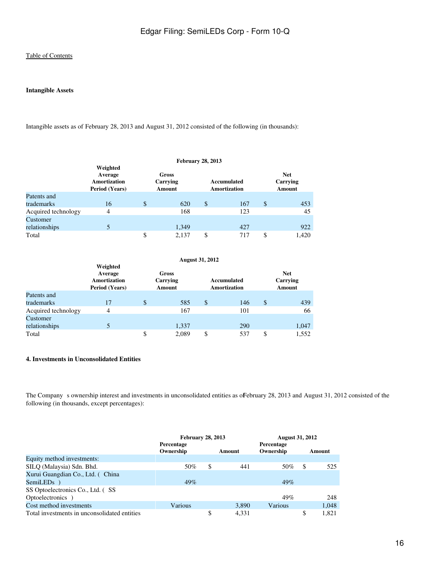### **Intangible Assets**

Intangible assets as of February 28, 2013 and August 31, 2012 consisted of the following (in thousands):

|                     |                                                              |                                    | <b>February 28, 2013</b> |                                    |                                  |       |
|---------------------|--------------------------------------------------------------|------------------------------------|--------------------------|------------------------------------|----------------------------------|-------|
|                     | Weighted<br>Average<br>Amortization<br><b>Period (Years)</b> | Gross<br>Carrying<br><b>Amount</b> |                          | Accumulated<br><b>Amortization</b> | <b>Net</b><br>Carrying<br>Amount |       |
| Patents and         |                                                              |                                    |                          |                                    |                                  |       |
| trademarks          | 16                                                           | \$<br>620                          | \$                       | 167                                | \$                               | 453   |
| Acquired technology | 4                                                            | 168                                |                          | 123                                |                                  | 45    |
| Customer            |                                                              |                                    |                          |                                    |                                  |       |
| relationships       |                                                              | 1,349                              |                          | 427                                |                                  | 922   |
| Total               |                                                              | \$<br>2.137                        | \$                       | 717                                | \$                               | 1,420 |

|                     | <b>August 31, 2012</b>                                |    |                             |    |                             |    |                                         |
|---------------------|-------------------------------------------------------|----|-----------------------------|----|-----------------------------|----|-----------------------------------------|
|                     | Weighted<br>Average<br>Amortization<br>Period (Years) |    | Gross<br>Carrying<br>Amount |    | Accumulated<br>Amortization |    | <b>Net</b><br>Carrying<br><b>Amount</b> |
| Patents and         |                                                       |    |                             |    |                             |    |                                         |
| trademarks          | 17                                                    | \$ | 585                         | \$ | 146                         | \$ | 439                                     |
| Acquired technology | 4                                                     |    | 167                         |    | 101                         |    | 66                                      |
| Customer            |                                                       |    |                             |    |                             |    |                                         |
| relationships       |                                                       |    | 1,337                       |    | 290                         |    | 1,047                                   |
| Total               |                                                       | \$ | 2,089                       | \$ | 537                         | \$ | 1,552                                   |

### **4. Investments in Unconsolidated Entities**

The Company s ownership interest and investments in unconsolidated entities as offebruary 28, 2013 and August 31, 2012 consisted of the following (in thousands, except percentages):

|                                              | <b>February 28, 2013</b> |    |        | <b>August 31, 2012</b> |    |        |
|----------------------------------------------|--------------------------|----|--------|------------------------|----|--------|
|                                              | Percentage               |    |        | Percentage             |    |        |
|                                              | Ownership                |    | Amount | Ownership              |    | Amount |
| Equity method investments:                   |                          |    |        |                        |    |        |
| SILQ (Malaysia) Sdn. Bhd.                    | 50%                      | \$ | 441    | 50%                    | S  | 525    |
| Xurui Guangdian Co., Ltd. (China             |                          |    |        |                        |    |        |
| SemiLED <sub>s</sub> )                       | 49%                      |    |        | 49%                    |    |        |
| SS Optoelectronics Co., Ltd. (SS             |                          |    |        |                        |    |        |
| Optoelectronics )                            |                          |    |        | 49%                    |    | 248    |
| Cost method investments                      | Various                  |    | 3,890  | Various                |    | 1.048  |
| Total investments in unconsolidated entities |                          | \$ | 4.331  |                        | \$ | 1.821  |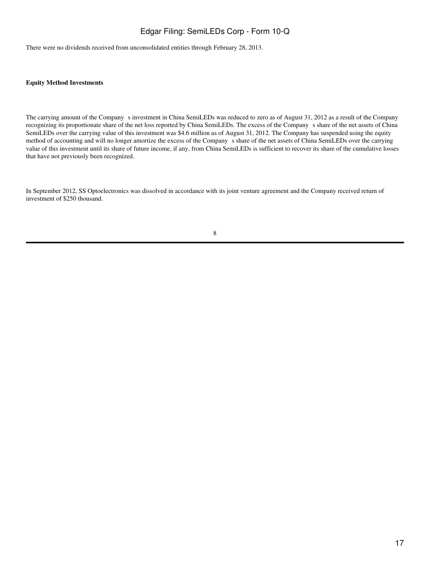There were no dividends received from unconsolidated entities through February 28, 2013.

### **Equity Method Investments**

The carrying amount of the Company s investment in China SemiLEDs was reduced to zero as of August 31, 2012 as a result of the Company recognizing its proportionate share of the net loss reported by China SemiLEDs. The excess of the Companys share of the net assets of China SemiLEDs over the carrying value of this investment was \$4.6 million as of August 31, 2012. The Company has suspended using the equity method of accounting and will no longer amortize the excess of the Company s share of the net assets of China SemiLEDs over the carrying value of this investment until its share of future income, if any, from China SemiLEDs is sufficient to recover its share of the cumulative losses that have not previously been recognized.

In September 2012, SS Optoelectronics was dissolved in accordance with its joint venture agreement and the Company received return of investment of \$250 thousand.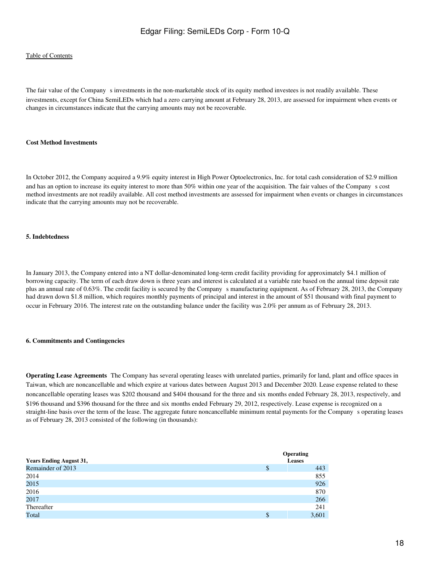### [Table of Contents](#page-2-0)

The fair value of the Company s investments in the non-marketable stock of its equity method investees is not readily available. These investments, except for China SemiLEDs which had a zero carrying amount at February 28, 2013, are assessed for impairment when events or changes in circumstances indicate that the carrying amounts may not be recoverable.

### **Cost Method Investments**

In October 2012, the Company acquired a 9.9% equity interest in High Power Optoelectronics, Inc. for total cash consideration of \$2.9 million and has an option to increase its equity interest to more than 50% within one year of the acquisition. The fair values of the Company s cost method investments are not readily available. All cost method investments are assessed for impairment when events or changes in circumstances indicate that the carrying amounts may not be recoverable.

### **5. Indebtedness**

In January 2013, the Company entered into a NT dollar-denominated long-term credit facility providing for approximately \$4.1 million of borrowing capacity. The term of each draw down is three years and interest is calculated at a variable rate based on the annual time deposit rate plus an annual rate of 0.63%. The credit facility is secured by the Companys manufacturing equipment. As of February 28, 2013, the Company had drawn down \$1.8 million, which requires monthly payments of principal and interest in the amount of \$51 thousand with final payment to occur in February 2016. The interest rate on the outstanding balance under the facility was 2.0% per annum as of February 28, 2013.

### **6. Commitments and Contingencies**

**Operating Lease Agreements** The Company has several operating leases with unrelated parties, primarily for land, plant and office spaces in Taiwan, which are noncancellable and which expire at various dates between August 2013 and December 2020. Lease expense related to these noncancellable operating leases was \$202 thousand and \$404 thousand for the three and six months ended February 28, 2013, respectively, and \$196 thousand and \$396 thousand for the three and six months ended February 29, 2012, respectively. Lease expense is recognized on a straight-line basis over the term of the lease. The aggregate future noncancellable minimum rental payments for the Company s operating leases as of February 28, 2013 consisted of the following (in thousands):

| <b>Years Ending August 31,</b> | <b>Operating</b><br>Leases |
|--------------------------------|----------------------------|
| Remainder of 2013              | \$<br>443                  |
| 2014                           | 855                        |
| 2015                           | 926                        |
| 2016                           | 870                        |
| 2017                           | 266                        |
| Thereafter                     | 241                        |
| Total                          | \$<br>3,601                |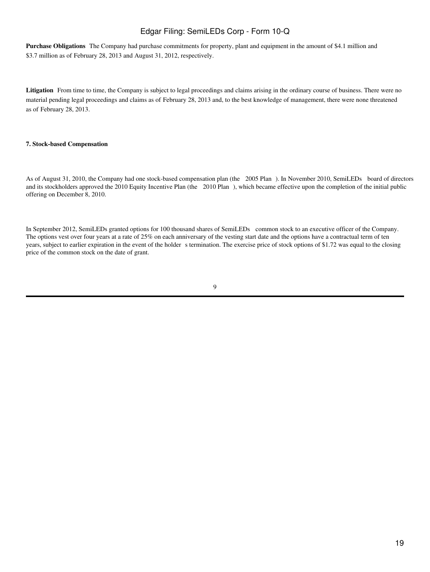**Purchase Obligations** The Company had purchase commitments for property, plant and equipment in the amount of \$4.1 million and \$3.7 million as of February 28, 2013 and August 31, 2012, respectively.

Litigation From time to time, the Company is subject to legal proceedings and claims arising in the ordinary course of business. There were no material pending legal proceedings and claims as of February 28, 2013 and, to the best knowledge of management, there were none threatened as of February 28, 2013.

### **7. Stock-based Compensation**

As of August 31, 2010, the Company had one stock-based compensation plan (the 2005 Plan). In November 2010, SemiLEDs board of directors and its stockholders approved the 2010 Equity Incentive Plan (the 2010 Plan), which became effective upon the completion of the initial public offering on December 8, 2010.

In September 2012, SemiLEDs granted options for 100 thousand shares of SemiLEDs common stock to an executive officer of the Company. The options vest over four years at a rate of 25% on each anniversary of the vesting start date and the options have a contractual term of ten years, subject to earlier expiration in the event of the holder s termination. The exercise price of stock options of \$1.72 was equal to the closing price of the common stock on the date of grant.

| M.<br>S           |
|-------------------|
| I<br>ł<br>۰,<br>٠ |
|                   |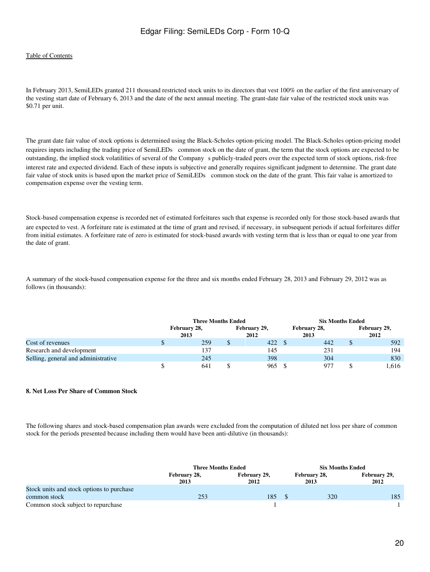### [Table of Contents](#page-2-0)

In February 2013, SemiLEDs granted 211 thousand restricted stock units to its directors that vest 100% on the earlier of the first anniversary of the vesting start date of February 6, 2013 and the date of the next annual meeting. The grant-date fair value of the restricted stock units was \$0.71 per unit.

The grant date fair value of stock options is determined using the Black-Scholes option-pricing model. The Black-Scholes option-pricing model requires inputs including the trading price of SemiLEDs common stock on the date of grant, the term that the stock options are expected to be outstanding, the implied stock volatilities of several of the Companys publicly-traded peers over the expected term of stock options, risk-free interest rate and expected dividend. Each of these inputs is subjective and generally requires significant judgment to determine. The grant date fair value of stock units is based upon the market price of SemiLEDs common stock on the date of the grant. This fair value is amortized to compensation expense over the vesting term.

Stock-based compensation expense is recorded net of estimated forfeitures such that expense is recorded only for those stock-based awards that are expected to vest. A forfeiture rate is estimated at the time of grant and revised, if necessary, in subsequent periods if actual forfeitures differ from initial estimates. A forfeiture rate of zero is estimated for stock-based awards with vesting term that is less than or equal to one year from the date of grant.

A summary of the stock-based compensation expense for the three and six months ended February 28, 2013 and February 29, 2012 was as follows (in thousands):

|                                     | <b>Three Months Ended</b> |  |                      |  | <b>Six Months Ended</b> |  |                      |  |
|-------------------------------------|---------------------------|--|----------------------|--|-------------------------|--|----------------------|--|
|                                     | February 28,<br>2013      |  | February 29,<br>2012 |  | February 28,<br>2013    |  | February 29,<br>2012 |  |
| Cost of revenues                    | 259                       |  | 422                  |  | 442                     |  | 592                  |  |
| Research and development            | 137                       |  | 145                  |  | 231                     |  | 194                  |  |
| Selling, general and administrative | 245                       |  | 398                  |  | 304                     |  | 830                  |  |
|                                     | 641                       |  | 965                  |  | 977                     |  | 1.616                |  |

#### **8. Net Loss Per Share of Common Stock**

The following shares and stock-based compensation plan awards were excluded from the computation of diluted net loss per share of common stock for the periods presented because including them would have been anti-dilutive (in thousands):

|                                           | <b>Three Months Ended</b> |                      |  | <b>Six Months Ended</b> |                      |  |
|-------------------------------------------|---------------------------|----------------------|--|-------------------------|----------------------|--|
|                                           | February 28,<br>2013      | February 29,<br>2012 |  | February 28,<br>2013    | February 29,<br>2012 |  |
| Stock units and stock options to purchase |                           |                      |  |                         |                      |  |
| common stock                              | 253                       | 185                  |  | 320                     | 185                  |  |
| Common stock subject to repurchase        |                           |                      |  |                         |                      |  |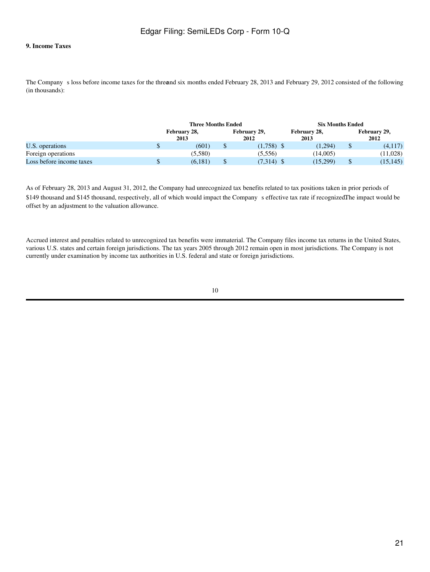### **9. Income Taxes**

The Company s loss before income taxes for the threeand six months ended February 28, 2013 and February 29, 2012 consisted of the following (in thousands):

|                          | <b>Three Months Ended</b> |  | <b>Six Months Ended</b> |                      |          |                      |
|--------------------------|---------------------------|--|-------------------------|----------------------|----------|----------------------|
|                          | February 28,<br>2013      |  | February 29,<br>2012    | February 28,<br>2013 |          | February 29,<br>2012 |
| U.S. operations          | (601)                     |  | $(1,758)$ \$            | (1.294)              | $\sigma$ | (4,117)              |
| Foreign operations       | (5,580)                   |  | (5,556)                 | (14.005)             |          | (11,028)             |
| Loss before income taxes | (6, 181)                  |  | (7,314)                 | (15,299)             |          | (15, 145)            |

As of February 28, 2013 and August 31, 2012, the Company had unrecognized tax benefits related to tax positions taken in prior periods of \$149 thousand and \$145 thousand, respectively, all of which would impact the Company s effective tax rate if recognizedThe impact would be offset by an adjustment to the valuation allowance.

Accrued interest and penalties related to unrecognized tax benefits were immaterial. The Company files income tax returns in the United States, various U.S. states and certain foreign jurisdictions. The tax years 2005 through 2012 remain open in most jurisdictions. The Company is not currently under examination by income tax authorities in U.S. federal and state or foreign jurisdictions.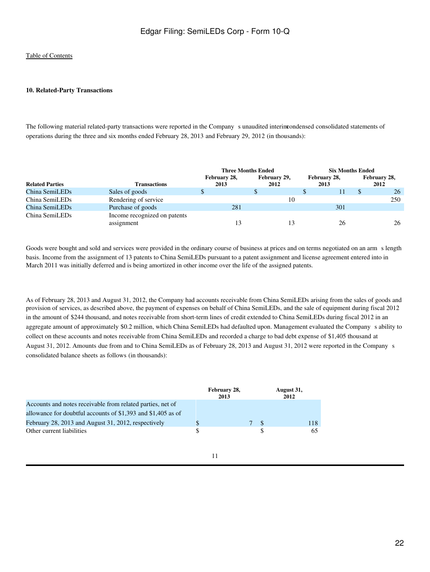### **10. Related-Party Transactions**

The following material related-party transactions were reported in the Company sunaudited interimcondensed consolidated statements of operations during the three and six months ended February 28, 2013 and February 29, 2012 (in thousands):

|                        |                              | <b>Three Months Ended</b> |              | <b>Six Months Ended</b> |              |  |
|------------------------|------------------------------|---------------------------|--------------|-------------------------|--------------|--|
|                        |                              | February 28,              | February 29, | February 28,            | February 28, |  |
| <b>Related Parties</b> | <b>Transactions</b>          | 2013                      | 2012         | 2013                    | 2012         |  |
| China SemiLEDs         | Sales of goods               |                           |              |                         | 26           |  |
| China SemiLEDs         | Rendering of service         |                           | 10           |                         | 250          |  |
| China SemiLEDs         | Purchase of goods            | 281                       |              | 301                     |              |  |
| China SemiLEDs         | Income recognized on patents |                           |              |                         |              |  |
|                        | assignment                   | 13                        |              | 26                      | 26           |  |

Goods were bought and sold and services were provided in the ordinary course of business at prices and on terms negotiated on an arms length basis. Income from the assignment of 13 patents to China SemiLEDs pursuant to a patent assignment and license agreement entered into in March 2011 was initially deferred and is being amortized in other income over the life of the assigned patents.

As of February 28, 2013 and August 31, 2012, the Company had accounts receivable from China SemiLEDs arising from the sales of goods and provision of services, as described above, the payment of expenses on behalf of China SemiLEDs, and the sale of equipment during fiscal 2012 in the amount of \$244 thousand, and notes receivable from short-term lines of credit extended to China SemiLEDs during fiscal 2012 in an aggregate amount of approximately \$0.2 million, which China SemiLEDs had defaulted upon. Management evaluated the Companys ability to collect on these accounts and notes receivable from China SemiLEDs and recorded a charge to bad debt expense of \$1,405 thousand at August 31, 2012. Amounts due from and to China SemiLEDs as of February 28, 2013 and August 31, 2012 were reported in the Companys consolidated balance sheets as follows (in thousands):

|                                                              |     | February 28,<br>2013 |                |     | August 31,<br>2012 |
|--------------------------------------------------------------|-----|----------------------|----------------|-----|--------------------|
| Accounts and notes receivable from related parties, net of   |     |                      |                |     |                    |
| allowance for doubtful accounts of \$1,393 and \$1,405 as of |     |                      |                |     |                    |
| February 28, 2013 and August 31, 2012, respectively          |     |                      | 7 <sup>8</sup> |     | 118                |
| Other current liabilities                                    | \$. |                      |                | \$. | 65.                |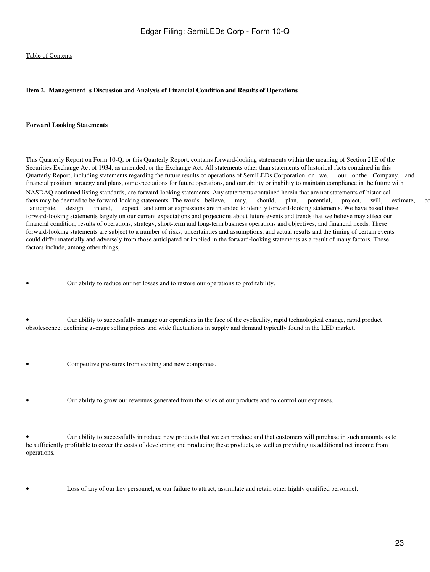### <span id="page-22-0"></span>Item 2. Management s Discussion and Analysis of Financial Condition and Results of Operations

#### **Forward Looking Statements**

This Quarterly Report on Form 10-Q, or this Quarterly Report, contains forward-looking statements within the meaning of Section 21E of the Securities Exchange Act of 1934, as amended, or the Exchange Act. All statements other than statements of historical facts contained in this Quarterly Report, including statements regarding the future results of operations of SemiLEDs Corporation, or we, our or the Company, and financial position, strategy and plans, our expectations for future operations, and our ability or inability to maintain compliance in the future with NASDAQ continued listing standards, are forward-looking statements. Any statements contained herein that are not statements of historical facts may be deemed to be forward-looking statements. The words believe, may, should, plan, potential, project, will, estimate, continues, continues, continues, continues, continues, continues, continues, continues, contin anticipate, design, intend, expect and similar expressions are intended to identify forward-looking statements. We have based these forward-looking statements largely on our current expectations and projections about future events and trends that we believe may affect our financial condition, results of operations, strategy, short-term and long-term business operations and objectives, and financial needs. These forward-looking statements are subject to a number of risks, uncertainties and assumptions, and actual results and the timing of certain events could differ materially and adversely from those anticipated or implied in the forward-looking statements as a result of many factors. These factors include, among other things,

• Our ability to reduce our net losses and to restore our operations to profitability.

• Our ability to successfully manage our operations in the face of the cyclicality, rapid technological change, rapid product obsolescence, declining average selling prices and wide fluctuations in supply and demand typically found in the LED market.

- Competitive pressures from existing and new companies.
	- Our ability to grow our revenues generated from the sales of our products and to control our expenses.

• Our ability to successfully introduce new products that we can produce and that customers will purchase in such amounts as to be sufficiently profitable to cover the costs of developing and producing these products, as well as providing us additional net income from operations.

Loss of any of our key personnel, or our failure to attract, assimilate and retain other highly qualified personnel.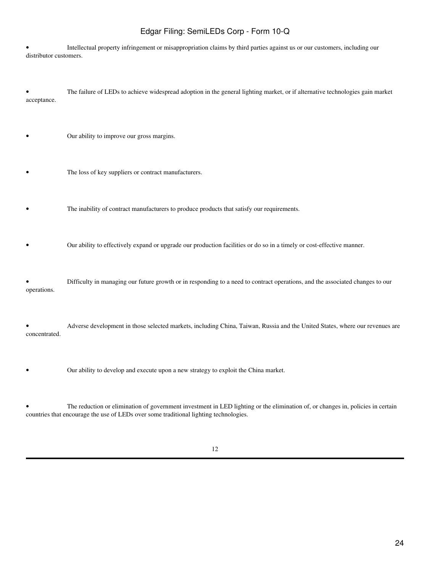• Intellectual property infringement or misappropriation claims by third parties against us or our customers, including our distributor customers.

• The failure of LEDs to achieve widespread adoption in the general lighting market, or if alternative technologies gain market acceptance.

• Our ability to improve our gross margins.

The loss of key suppliers or contract manufacturers.

• The inability of contract manufacturers to produce products that satisfy our requirements.

• Our ability to effectively expand or upgrade our production facilities or do so in a timely or cost-effective manner.

• Difficulty in managing our future growth or in responding to a need to contract operations, and the associated changes to our operations.

• Adverse development in those selected markets, including China, Taiwan, Russia and the United States, where our revenues are concentrated.

• Our ability to develop and execute upon a new strategy to exploit the China market.

• The reduction or elimination of government investment in LED lighting or the elimination of, or changes in, policies in certain countries that encourage the use of LEDs over some traditional lighting technologies.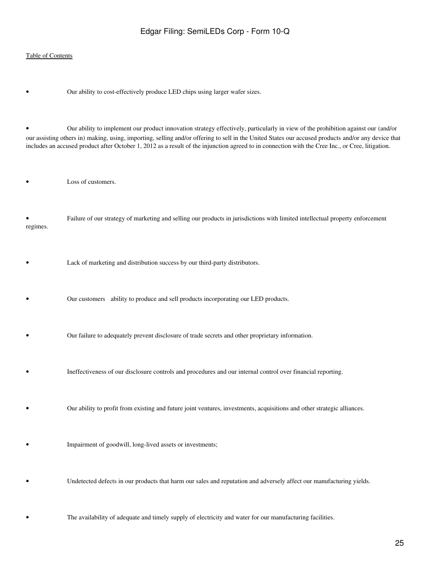### [Table of Contents](#page-2-0)

Our ability to cost-effectively produce LED chips using larger wafer sizes.

• Our ability to implement our product innovation strategy effectively, particularly in view of the prohibition against our (and/or our assisting others in) making, using, importing, selling and/or offering to sell in the United States our accused products and/or any device that includes an accused product after October 1, 2012 as a result of the injunction agreed to in connection with the Cree Inc., or Cree, litigation.

• Loss of customers.

• Failure of our strategy of marketing and selling our products in jurisdictions with limited intellectual property enforcement regimes.

- Lack of marketing and distribution success by our third-party distributors.
- Our customers ability to produce and sell products incorporating our LED products.
- Our failure to adequately prevent disclosure of trade secrets and other proprietary information.
- Ineffectiveness of our disclosure controls and procedures and our internal control over financial reporting.
	- Our ability to profit from existing and future joint ventures, investments, acquisitions and other strategic alliances.
- Impairment of goodwill, long-lived assets or investments;
- Undetected defects in our products that harm our sales and reputation and adversely affect our manufacturing yields.
	- The availability of adequate and timely supply of electricity and water for our manufacturing facilities.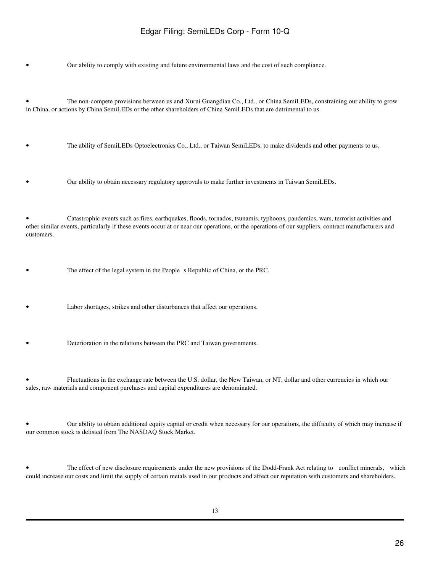• Our ability to comply with existing and future environmental laws and the cost of such compliance.

• The non-compete provisions between us and Xurui Guangdian Co., Ltd., or China SemiLEDs, constraining our ability to grow in China, or actions by China SemiLEDs or the other shareholders of China SemiLEDs that are detrimental to us.

• The ability of SemiLEDs Optoelectronics Co., Ltd., or Taiwan SemiLEDs, to make dividends and other payments to us.

• Our ability to obtain necessary regulatory approvals to make further investments in Taiwan SemiLEDs.

• Catastrophic events such as fires, earthquakes, floods, tornados, tsunamis, typhoons, pandemics, wars, terrorist activities and other similar events, particularly if these events occur at or near our operations, or the operations of our suppliers, contract manufacturers and customers.

The effect of the legal system in the People s Republic of China, or the PRC.

Labor shortages, strikes and other disturbances that affect our operations.

• Deterioration in the relations between the PRC and Taiwan governments.

• Fluctuations in the exchange rate between the U.S. dollar, the New Taiwan, or NT, dollar and other currencies in which our sales, raw materials and component purchases and capital expenditures are denominated.

• Our ability to obtain additional equity capital or credit when necessary for our operations, the difficulty of which may increase if our common stock is delisted from The NASDAQ Stock Market.

The effect of new disclosure requirements under the new provisions of the Dodd-Frank Act relating to conflict minerals, which could increase our costs and limit the supply of certain metals used in our products and affect our reputation with customers and shareholders.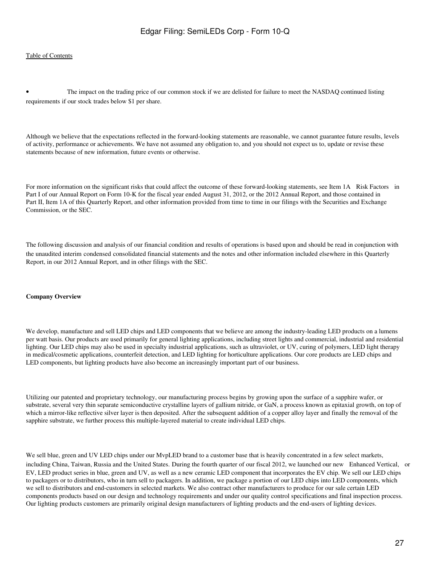The impact on the trading price of our common stock if we are delisted for failure to meet the NASDAQ continued listing requirements if our stock trades below \$1 per share.

Although we believe that the expectations reflected in the forward-looking statements are reasonable, we cannot guarantee future results, levels of activity, performance or achievements. We have not assumed any obligation to, and you should not expect us to, update or revise these statements because of new information, future events or otherwise.

For more information on the significant risks that could affect the outcome of these forward-looking statements, see Item 1A Risk Factors in Part I of our Annual Report on Form 10-K for the fiscal year ended August 31, 2012, or the 2012 Annual Report, and those contained in Part II, Item 1A of this Quarterly Report, and other information provided from time to time in our filings with the Securities and Exchange Commission, or the SEC.

The following discussion and analysis of our financial condition and results of operations is based upon and should be read in conjunction with the unaudited interim condensed consolidated financial statements and the notes and other information included elsewhere in this Quarterly Report, in our 2012 Annual Report, and in other filings with the SEC.

#### **Company Overview**

We develop, manufacture and sell LED chips and LED components that we believe are among the industry-leading LED products on a lumens per watt basis. Our products are used primarily for general lighting applications, including street lights and commercial, industrial and residential lighting. Our LED chips may also be used in specialty industrial applications, such as ultraviolet, or UV, curing of polymers, LED light therapy in medical/cosmetic applications, counterfeit detection, and LED lighting for horticulture applications. Our core products are LED chips and LED components, but lighting products have also become an increasingly important part of our business.

Utilizing our patented and proprietary technology, our manufacturing process begins by growing upon the surface of a sapphire wafer, or substrate, several very thin separate semiconductive crystalline layers of gallium nitride, or GaN, a process known as epitaxial growth, on top of which a mirror-like reflective silver layer is then deposited. After the subsequent addition of a copper alloy layer and finally the removal of the sapphire substrate, we further process this multiple-layered material to create individual LED chips.

We sell blue, green and UV LED chips under our MvpLED brand to a customer base that is heavily concentrated in a few select markets, including China, Taiwan, Russia and the United States. During the fourth quarter of our fiscal 2012, we launched our new Enhanced Vertical, or EV, LED product series in blue, green and UV, as well as a new ceramic LED component that incorporates the EV chip. We sell our LED chips to packagers or to distributors, who in turn sell to packagers. In addition, we package a portion of our LED chips into LED components, which we sell to distributors and end-customers in selected markets. We also contract other manufacturers to produce for our sale certain LED components products based on our design and technology requirements and under our quality control specifications and final inspection process. Our lighting products customers are primarily original design manufacturers of lighting products and the end-users of lighting devices.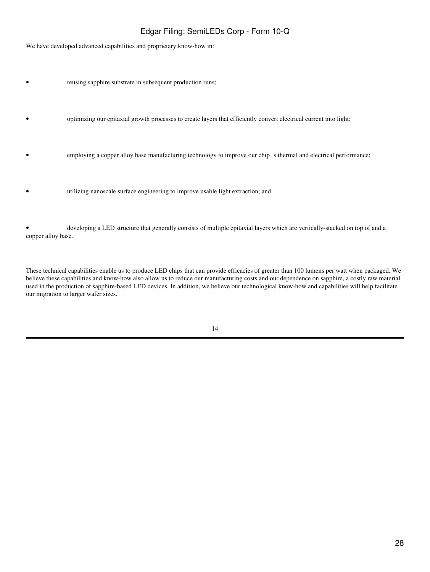We have developed advanced capabilities and proprietary know-how in:

- reusing sapphire substrate in subsequent production runs;
- optimizing our epitaxial growth processes to create layers that efficiently convert electrical current into light;
- employing a copper alloy base manufacturing technology to improve our chip s thermal and electrical performance;
- utilizing nanoscale surface engineering to improve usable light extraction; and

• developing a LED structure that generally consists of multiple epitaxial layers which are vertically-stacked on top of and a copper alloy base.

These technical capabilities enable us to produce LED chips that can provide efficacies of greater than 100 lumens per watt when packaged. We believe these capabilities and know-how also allow us to reduce our manufacturing costs and our dependence on sapphire, a costly raw material used in the production of sapphire-based LED devices. In addition, we believe our technological know-how and capabilities will help facilitate our migration to larger wafer sizes.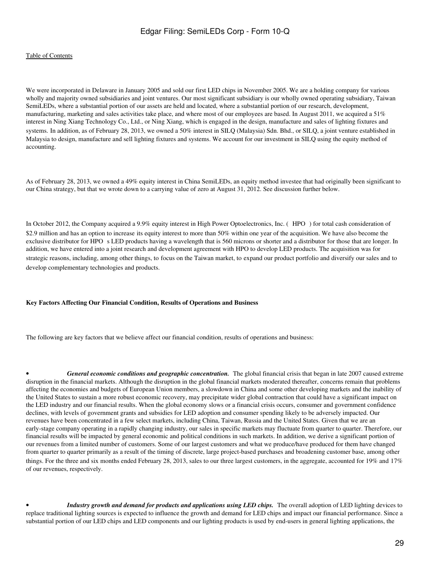We were incorporated in Delaware in January 2005 and sold our first LED chips in November 2005. We are a holding company for various wholly and majority owned subsidiaries and joint ventures. Our most significant subsidiary is our wholly owned operating subsidiary, Taiwan SemiLEDs, where a substantial portion of our assets are held and located, where a substantial portion of our research, development, manufacturing, marketing and sales activities take place, and where most of our employees are based. In August 2011, we acquired a 51% interest in Ning Xiang Technology Co., Ltd., or Ning Xiang, which is engaged in the design, manufacture and sales of lighting fixtures and systems. In addition, as of February 28, 2013, we owned a 50% interest in SILQ (Malaysia) Sdn. Bhd., or SILQ, a joint venture established in Malaysia to design, manufacture and sell lighting fixtures and systems. We account for our investment in SILQ using the equity method of accounting.

As of February 28, 2013, we owned a 49% equity interest in China SemiLEDs, an equity method investee that had originally been significant to our China strategy, but that we wrote down to a carrying value of zero at August 31, 2012. See discussion further below.

In October 2012, the Company acquired a 9.9% equity interest in High Power Optoelectronics, Inc. (HPO) for total cash consideration of \$2.9 million and has an option to increase its equity interest to more than 50% within one year of the acquisition. We have also become the exclusive distributor for HPO s LED products having a wavelength that is 560 microns or shorter and a distributor for those that are longer. In addition, we have entered into a joint research and development agreement with HPO to develop LED products. The acquisition was for strategic reasons, including, among other things, to focus on the Taiwan market, to expand our product portfolio and diversify our sales and to develop complementary technologies and products.

#### **Key Factors Affecting Our Financial Condition, Results of Operations and Business**

The following are key factors that we believe affect our financial condition, results of operations and business:

General economic conditions and geographic concentration. The global financial crisis that began in late 2007 caused extreme disruption in the financial markets. Although the disruption in the global financial markets moderated thereafter, concerns remain that problems affecting the economies and budgets of European Union members, a slowdown in China and some other developing markets and the inability of the United States to sustain a more robust economic recovery, may precipitate wider global contraction that could have a significant impact on the LED industry and our financial results. When the global economy slows or a financial crisis occurs, consumer and government confidence declines, with levels of government grants and subsidies for LED adoption and consumer spending likely to be adversely impacted. Our revenues have been concentrated in a few select markets, including China, Taiwan, Russia and the United States. Given that we are an early-stage company operating in a rapidly changing industry, our sales in specific markets may fluctuate from quarter to quarter. Therefore, our financial results will be impacted by general economic and political conditions in such markets. In addition, we derive a significant portion of our revenues from a limited number of customers. Some of our largest customers and what we produce/have produced for them have changed from quarter to quarter primarily as a result of the timing of discrete, large project-based purchases and broadening customer base, among other things. For the three and six months ended February 28, 2013, sales to our three largest customers, in the aggregate, accounted for 19% and 17% of our revenues, respectively.

• *Industry growth and demand for products and applications using LED chips.* The overall adoption of LED lighting devices to replace traditional lighting sources is expected to influence the growth and demand for LED chips and impact our financial performance. Since a substantial portion of our LED chips and LED components and our lighting products is used by end-users in general lighting applications, the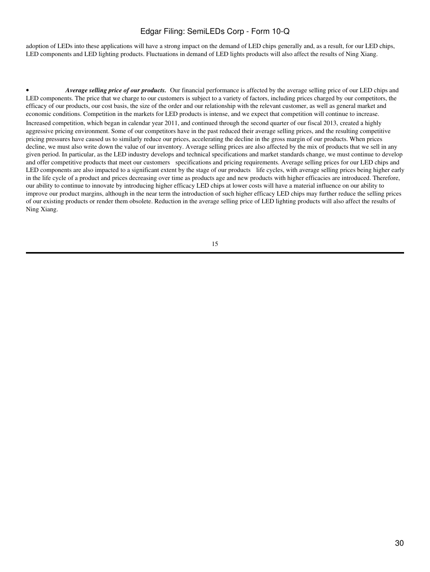adoption of LEDs into these applications will have a strong impact on the demand of LED chips generally and, as a result, for our LED chips, LED components and LED lighting products. Fluctuations in demand of LED lights products will also affect the results of Ning Xiang.

• *Average selling price of our products.* Our financial performance is affected by the average selling price of our LED chips and LED components. The price that we charge to our customers is subject to a variety of factors, including prices charged by our competitors, the efficacy of our products, our cost basis, the size of the order and our relationship with the relevant customer, as well as general market and economic conditions. Competition in the markets for LED products is intense, and we expect that competition will continue to increase. Increased competition, which began in calendar year 2011, and continued through the second quarter of our fiscal 2013, created a highly aggressive pricing environment. Some of our competitors have in the past reduced their average selling prices, and the resulting competitive pricing pressures have caused us to similarly reduce our prices, accelerating the decline in the gross margin of our products. When prices decline, we must also write down the value of our inventory. Average selling prices are also affected by the mix of products that we sell in any given period. In particular, as the LED industry develops and technical specifications and market standards change, we must continue to develop and offer competitive products that meet our customers specifications and pricing requirements. Average selling prices for our LED chips and LED components are also impacted to a significant extent by the stage of our products life cycles, with average selling prices being higher early in the life cycle of a product and prices decreasing over time as products age and new products with higher efficacies are introduced. Therefore, our ability to continue to innovate by introducing higher efficacy LED chips at lower costs will have a material influence on our ability to improve our product margins, although in the near term the introduction of such higher efficacy LED chips may further reduce the selling prices of our existing products or render them obsolete. Reduction in the average selling price of LED lighting products will also affect the results of Ning Xiang.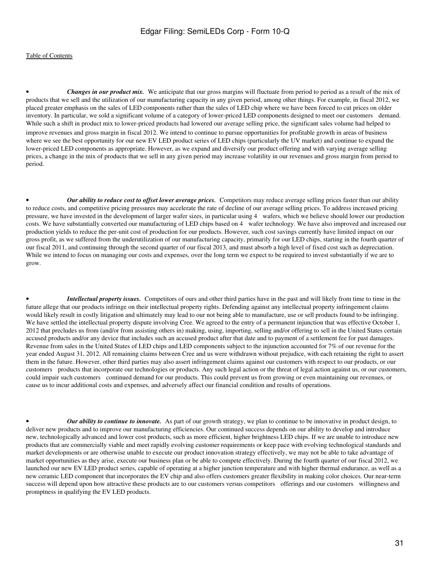• *Changes in our product mix.* We anticipate that our gross margins will fluctuate from period to period as a result of the mix of products that we sell and the utilization of our manufacturing capacity in any given period, among other things. For example, in fiscal 2012, we placed greater emphasis on the sales of LED components rather than the sales of LED chip where we have been forced to cut prices on older inventory. In particular, we sold a significant volume of a category of lower-priced LED components designed to meet our customers demand. While such a shift in product mix to lower-priced products had lowered our average selling price, the significant sales volume had helped to improve revenues and gross margin in fiscal 2012. We intend to continue to pursue opportunities for profitable growth in areas of business where we see the best opportunity for our new EV LED product series of LED chips (particularly the UV market) and continue to expand the lower-priced LED components as appropriate. However, as we expand and diversify our product offering and with varying average selling prices, a change in the mix of products that we sell in any given period may increase volatility in our revenues and gross margin from period to period.

• *Our ability to reduce cost to offset lower average prices.* Competitors may reduce average selling prices faster than our ability to reduce costs, and competitive pricing pressures may accelerate the rate of decline of our average selling prices. To address increased pricing pressure, we have invested in the development of larger wafer sizes, in particular using 4 wafers, which we believe should lower our production costs. We have substantially converted our manufacturing of LED chips based on 4 wafer technology. We have also improved and increased our production yields to reduce the per-unit cost of production for our products. However, such cost savings currently have limited impact on our gross profit, as we suffered from the underutilization of our manufacturing capacity, primarily for our LED chips, starting in the fourth quarter of our fiscal 2011, and continuing through the second quarter of our fiscal 2013, and must absorb a high level of fixed cost such as depreciation. While we intend to focus on managing our costs and expenses, over the long term we expect to be required to invest substantially if we are to grow.

• *Intellectual property issues.* Competitors of ours and other third parties have in the past and will likely from time to time in the future allege that our products infringe on their intellectual property rights. Defending against any intellectual property infringement claims would likely result in costly litigation and ultimately may lead to our not being able to manufacture, use or sell products found to be infringing. We have settled the intellectual property dispute involving Cree. We agreed to the entry of a permanent injunction that was effective October 1, 2012 that precludes us from (and/or from assisting others in) making, using, importing, selling and/or offering to sell in the United States certain accused products and/or any device that includes such an accused product after that date and to payment of a settlement fee for past damages. Revenue from sales in the United States of LED chips and LED components subject to the injunction accounted for 7% of our revenue for the year ended August 31, 2012. All remaining claims between Cree and us were withdrawn without prejudice, with each retaining the right to assert them in the future. However, other third parties may also assert infringement claims against our customers with respect to our products, or our customers products that incorporate our technologies or products. Any such legal action or the threat of legal action against us, or our customers, could impair such customers continued demand for our products. This could prevent us from growing or even maintaining our revenues, or cause us to incur additional costs and expenses, and adversely affect our financial condition and results of operations.

• *Our ability to continue to innovate.* As part of our growth strategy, we plan to continue to be innovative in product design, to deliver new products and to improve our manufacturing efficiencies. Our continued success depends on our ability to develop and introduce new, technologically advanced and lower cost products, such as more efficient, higher brightness LED chips. If we are unable to introduce new products that are commercially viable and meet rapidly evolving customer requirements or keep pace with evolving technological standards and market developments or are otherwise unable to execute our product innovation strategy effectively, we may not be able to take advantage of market opportunities as they arise, execute our business plan or be able to compete effectively. During the fourth quarter of our fiscal 2012, we launched our new EV LED product series, capable of operating at a higher junction temperature and with higher thermal endurance, as well as a new ceramic LED component that incorporates the EV chip and also offers customers greater flexibility in making color choices. Our near-term success will depend upon how attractive these products are to our customers versus competitors offerings and our customers willingness and promptness in qualifying the EV LED products.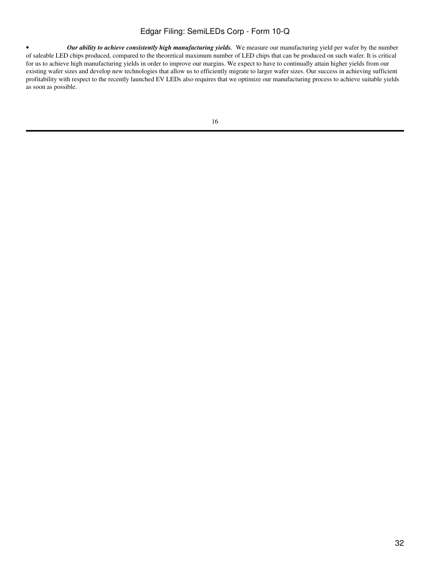• *Our ability to achieve consistently high manufacturing yields.* We measure our manufacturing yield per wafer by the number of saleable LED chips produced, compared to the theoretical maximum number of LED chips that can be produced on such wafer. It is critical for us to achieve high manufacturing yields in order to improve our margins. We expect to have to continually attain higher yields from our existing wafer sizes and develop new technologies that allow us to efficiently migrate to larger wafer sizes. Our success in achieving sufficient profitability with respect to the recently launched EV LEDs also requires that we optimize our manufacturing process to achieve suitable yields as soon as possible.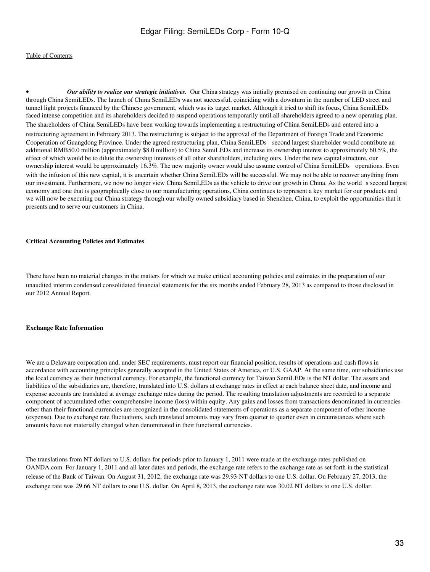• *Our ability to realize our strategic initiatives.* Our China strategy was initially premised on continuing our growth in China through China SemiLEDs. The launch of China SemiLEDs was not successful, coinciding with a downturn in the number of LED street and tunnel light projects financed by the Chinese government, which was its target market. Although it tried to shift its focus, China SemiLEDs faced intense competition and its shareholders decided to suspend operations temporarily until all shareholders agreed to a new operating plan. The shareholders of China SemiLEDs have been working towards implementing a restructuring of China SemiLEDs and entered into a restructuring agreement in February 2013. The restructuring is subject to the approval of the Department of Foreign Trade and Economic Cooperation of Guangdong Province. Under the agreed restructuring plan, China SemiLEDs second largest shareholder would contribute an additional RMB50.0 million (approximately \$8.0 million) to China SemiLEDs and increase its ownership interest to approximately 60.5%, the effect of which would be to dilute the ownership interests of all other shareholders, including ours. Under the new capital structure, our ownership interest would be approximately 16.3%. The new majority owner would also assume control of China SemiLEDs operations. Even with the infusion of this new capital, it is uncertain whether China SemiLEDs will be successful. We may not be able to recover anything from our investment. Furthermore, we now no longer view China SemiLEDs as the vehicle to drive our growth in China. As the world s second largest economy and one that is geographically close to our manufacturing operations, China continues to represent a key market for our products and we will now be executing our China strategy through our wholly owned subsidiary based in Shenzhen, China, to exploit the opportunities that it presents and to serve our customers in China.

### **Critical Accounting Policies and Estimates**

There have been no material changes in the matters for which we make critical accounting policies and estimates in the preparation of our unaudited interim condensed consolidated financial statements for the six months ended February 28, 2013 as compared to those disclosed in our 2012 Annual Report.

#### **Exchange Rate Information**

We are a Delaware corporation and, under SEC requirements, must report our financial position, results of operations and cash flows in accordance with accounting principles generally accepted in the United States of America, or U.S. GAAP. At the same time, our subsidiaries use the local currency as their functional currency. For example, the functional currency for Taiwan SemiLEDs is the NT dollar. The assets and liabilities of the subsidiaries are, therefore, translated into U.S. dollars at exchange rates in effect at each balance sheet date, and income and expense accounts are translated at average exchange rates during the period. The resulting translation adjustments are recorded to a separate component of accumulated other comprehensive income (loss) within equity. Any gains and losses from transactions denominated in currencies other than their functional currencies are recognized in the consolidated statements of operations as a separate component of other income (expense). Due to exchange rate fluctuations, such translated amounts may vary from quarter to quarter even in circumstances where such amounts have not materially changed when denominated in their functional currencies.

The translations from NT dollars to U.S. dollars for periods prior to January 1, 2011 were made at the exchange rates published on OANDA.com. For January 1, 2011 and all later dates and periods, the exchange rate refers to the exchange rate as set forth in the statistical release of the Bank of Taiwan. On August 31, 2012, the exchange rate was 29.93 NT dollars to one U.S. dollar. On February 27, 2013, the exchange rate was 29.66 NT dollars to one U.S. dollar. On April 8, 2013, the exchange rate was 30.02 NT dollars to one U.S. dollar.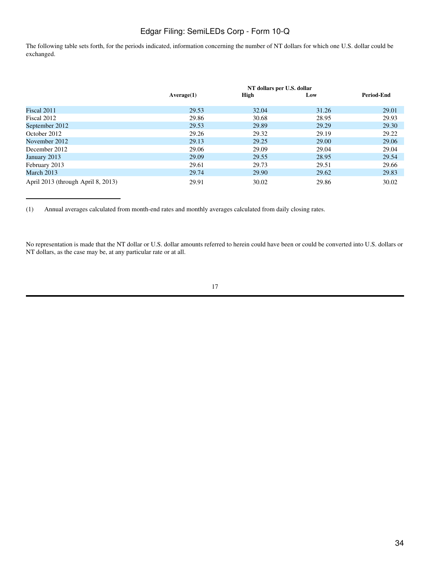The following table sets forth, for the periods indicated, information concerning the number of NT dollars for which one U.S. dollar could be exchanged.

|                                    | NT dollars per U.S. dollar |       |       |                   |  |
|------------------------------------|----------------------------|-------|-------|-------------------|--|
|                                    | Average(1)                 | High  | Low   | <b>Period-End</b> |  |
| Fiscal 2011                        | 29.53                      | 32.04 | 31.26 | 29.01             |  |
| Fiscal 2012                        | 29.86                      | 30.68 | 28.95 | 29.93             |  |
| September 2012                     | 29.53                      | 29.89 | 29.29 | 29.30             |  |
| October 2012                       | 29.26                      | 29.32 | 29.19 | 29.22             |  |
| November 2012                      | 29.13                      | 29.25 | 29.00 | 29.06             |  |
| December 2012                      | 29.06                      | 29.09 | 29.04 | 29.04             |  |
| January 2013                       | 29.09                      | 29.55 | 28.95 | 29.54             |  |
| February 2013                      | 29.61                      | 29.73 | 29.51 | 29.66             |  |
| March 2013                         | 29.74                      | 29.90 | 29.62 | 29.83             |  |
| April 2013 (through April 8, 2013) | 29.91                      | 30.02 | 29.86 | 30.02             |  |

(1) Annual averages calculated from month-end rates and monthly averages calculated from daily closing rates.

No representation is made that the NT dollar or U.S. dollar amounts referred to herein could have been or could be converted into U.S. dollars or NT dollars, as the case may be, at any particular rate or at all.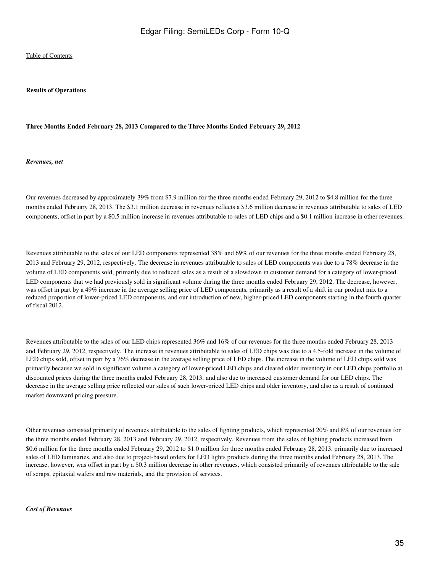#### **Results of Operations**

### **Three Months Ended February 28, 2013 Compared to the Three Months Ended February 29, 2012**

#### *Revenues, net*

Our revenues decreased by approximately 39% from \$7.9 million for the three months ended February 29, 2012 to \$4.8 million for the three months ended February 28, 2013. The \$3.1 million decrease in revenues reflects a \$3.6 million decrease in revenues attributable to sales of LED components, offset in part by a \$0.5 million increase in revenues attributable to sales of LED chips and a \$0.1 million increase in other revenues.

Revenues attributable to the sales of our LED components represented 38% and 69% of our revenues for the three months ended February 28, 2013 and February 29, 2012, respectively. The decrease in revenues attributable to sales of LED components was due to a 78% decrease in the volume of LED components sold, primarily due to reduced sales as a result of a slowdown in customer demand for a category of lower-priced LED components that we had previously sold in significant volume during the three months ended February 29, 2012. The decrease, however, was offset in part by a 49% increase in the average selling price of LED components, primarily as a result of a shift in our product mix to a reduced proportion of lower-priced LED components, and our introduction of new, higher-priced LED components starting in the fourth quarter of fiscal 2012.

Revenues attributable to the sales of our LED chips represented 36% and 16% of our revenues for the three months ended February 28, 2013 and February 29, 2012, respectively. The increase in revenues attributable to sales of LED chips was due to a 4.5-fold increase in the volume of LED chips sold, offset in part by a 76% decrease in the average selling price of LED chips. The increase in the volume of LED chips sold was primarily because we sold in significant volume a category of lower-priced LED chips and cleared older inventory in our LED chips portfolio at discounted prices during the three months ended February 28, 2013, and also due to increased customer demand for our LED chips. The decrease in the average selling price reflected our sales of such lower-priced LED chips and older inventory, and also as a result of continued market downward pricing pressure.

Other revenues consisted primarily of revenues attributable to the sales of lighting products, which represented 20% and 8% of our revenues for the three months ended February 28, 2013 and February 29, 2012, respectively. Revenues from the sales of lighting products increased from \$0.6 million for the three months ended February 29, 2012 to \$1.0 million for three months ended February 28, 2013, primarily due to increased sales of LED luminaries, and also due to project-based orders for LED lights products during the three months ended February 28, 2013. The increase, however, was offset in part by a \$0.3 million decrease in other revenues, which consisted primarily of revenues attributable to the sale of scraps, epitaxial wafers and raw materials, and the provision of services.

#### *Cost of Revenues*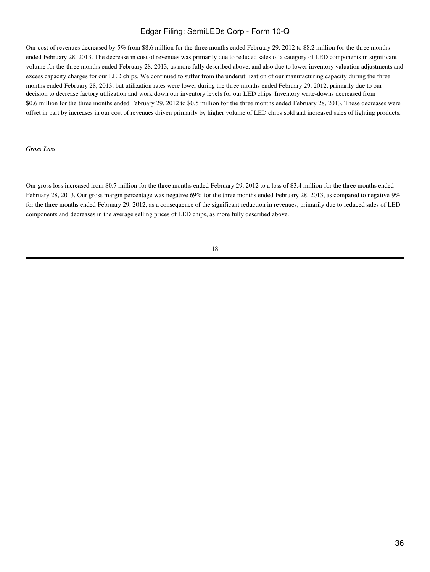Our cost of revenues decreased by 5% from \$8.6 million for the three months ended February 29, 2012 to \$8.2 million for the three months ended February 28, 2013. The decrease in cost of revenues was primarily due to reduced sales of a category of LED components in significant volume for the three months ended February 28, 2013, as more fully described above, and also due to lower inventory valuation adjustments and excess capacity charges for our LED chips. We continued to suffer from the underutilization of our manufacturing capacity during the three months ended February 28, 2013, but utilization rates were lower during the three months ended February 29, 2012, primarily due to our decision to decrease factory utilization and work down our inventory levels for our LED chips. Inventory write-downs decreased from \$0.6 million for the three months ended February 29, 2012 to \$0.5 million for the three months ended February 28, 2013. These decreases were offset in part by increases in our cost of revenues driven primarily by higher volume of LED chips sold and increased sales of lighting products.

#### *Gross Loss*

Our gross loss increased from \$0.7 million for the three months ended February 29, 2012 to a loss of \$3.4 million for the three months ended February 28, 2013. Our gross margin percentage was negative 69% for the three months ended February 28, 2013, as compared to negative 9% for the three months ended February 29, 2012, as a consequence of the significant reduction in revenues, primarily due to reduced sales of LED components and decreases in the average selling prices of LED chips, as more fully described above.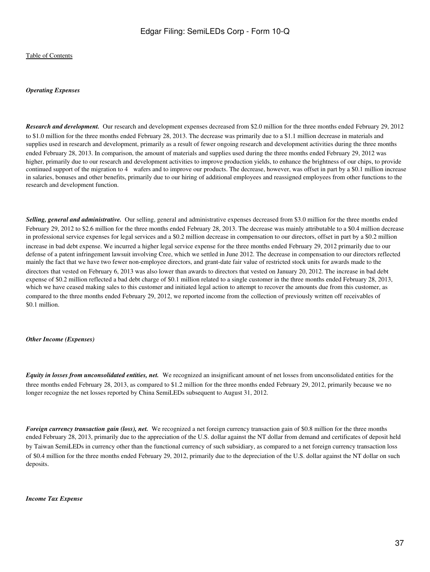### *Operating Expenses*

*Research and development.* Our research and development expenses decreased from \$2.0 million for the three months ended February 29, 2012 to \$1.0 million for the three months ended February 28, 2013. The decrease was primarily due to a \$1.1 million decrease in materials and supplies used in research and development, primarily as a result of fewer ongoing research and development activities during the three months ended February 28, 2013. In comparison, the amount of materials and supplies used during the three months ended February 29, 2012 was higher, primarily due to our research and development activities to improve production yields, to enhance the brightness of our chips, to provide continued support of the migration to 4 wafers and to improve our products. The decrease, however, was offset in part by a \$0.1 million increase in salaries, bonuses and other benefits, primarily due to our hiring of additional employees and reassigned employees from other functions to the research and development function.

*Selling, general and administrative.* Our selling, general and administrative expenses decreased from \$3.0 million for the three months ended February 29, 2012 to \$2.6 million for the three months ended February 28, 2013. The decrease was mainly attributable to a \$0.4 million decrease in professional service expenses for legal services and a \$0.2 million decrease in compensation to our directors, offset in part by a \$0.2 million increase in bad debt expense. We incurred a higher legal service expense for the three months ended February 29, 2012 primarily due to our defense of a patent infringement lawsuit involving Cree, which we settled in June 2012. The decrease in compensation to our directors reflected mainly the fact that we have two fewer non-employee directors, and grant-date fair value of restricted stock units for awards made to the directors that vested on February 6, 2013 was also lower than awards to directors that vested on January 20, 2012. The increase in bad debt expense of \$0.2 million reflected a bad debt charge of \$0.1 million related to a single customer in the three months ended February 28, 2013, which we have ceased making sales to this customer and initiated legal action to attempt to recover the amounts due from this customer, as compared to the three months ended February 29, 2012, we reported income from the collection of previously written off receivables of \$0.1 million.

#### *Other Income (Expenses)*

*Equity in losses from unconsolidated entities, net.* We recognized an insignificant amount of net losses from unconsolidated entities for the three months ended February 28, 2013, as compared to \$1.2 million for the three months ended February 29, 2012, primarily because we no longer recognize the net losses reported by China SemiLEDs subsequent to August 31, 2012.

*Foreign currency transaction gain (loss), net.* We recognized a net foreign currency transaction gain of \$0.8 million for the three months ended February 28, 2013, primarily due to the appreciation of the U.S. dollar against the NT dollar from demand and certificates of deposit held by Taiwan SemiLEDs in currency other than the functional currency of such subsidiary, as compared to a net foreign currency transaction loss of \$0.4 million for the three months ended February 29, 2012, primarily due to the depreciation of the U.S. dollar against the NT dollar on such deposits.

#### *Income Tax Expense*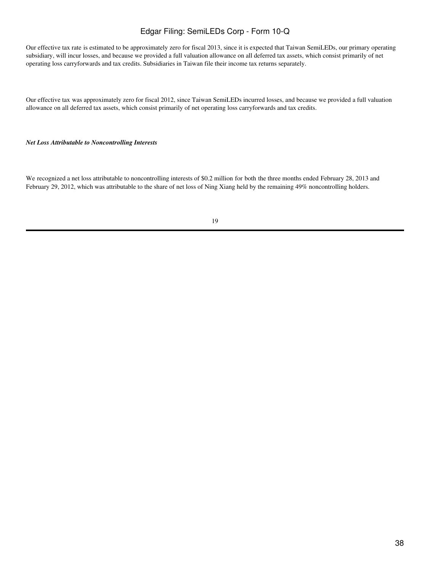Our effective tax rate is estimated to be approximately zero for fiscal 2013, since it is expected that Taiwan SemiLEDs, our primary operating subsidiary, will incur losses, and because we provided a full valuation allowance on all deferred tax assets, which consist primarily of net operating loss carryforwards and tax credits. Subsidiaries in Taiwan file their income tax returns separately.

Our effective tax was approximately zero for fiscal 2012, since Taiwan SemiLEDs incurred losses, and because we provided a full valuation allowance on all deferred tax assets, which consist primarily of net operating loss carryforwards and tax credits.

### *Net Loss Attributable to Noncontrolling Interests*

We recognized a net loss attributable to noncontrolling interests of \$0.2 million for both the three months ended February 28, 2013 and February 29, 2012, which was attributable to the share of net loss of Ning Xiang held by the remaining 49% noncontrolling holders.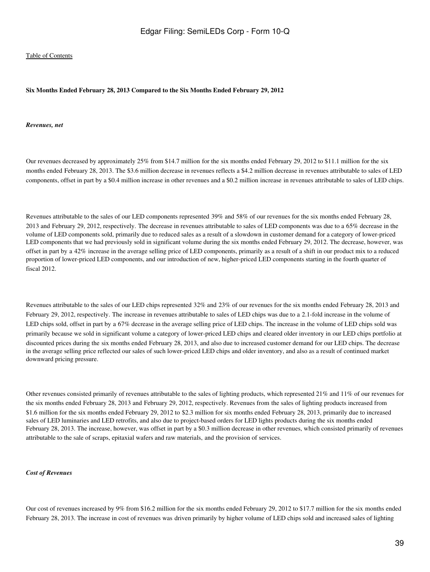### **Six Months Ended February 28, 2013 Compared to the Six Months Ended February 29, 2012**

#### *Revenues, net*

Our revenues decreased by approximately 25% from \$14.7 million for the six months ended February 29, 2012 to \$11.1 million for the six months ended February 28, 2013. The \$3.6 million decrease in revenues reflects a \$4.2 million decrease in revenues attributable to sales of LED components, offset in part by a \$0.4 million increase in other revenues and a \$0.2 million increase in revenues attributable to sales of LED chips.

Revenues attributable to the sales of our LED components represented 39% and 58% of our revenues for the six months ended February 28, 2013 and February 29, 2012, respectively. The decrease in revenues attributable to sales of LED components was due to a 65% decrease in the volume of LED components sold, primarily due to reduced sales as a result of a slowdown in customer demand for a category of lower-priced LED components that we had previously sold in significant volume during the six months ended February 29, 2012. The decrease, however, was offset in part by a 42% increase in the average selling price of LED components, primarily as a result of a shift in our product mix to a reduced proportion of lower-priced LED components, and our introduction of new, higher-priced LED components starting in the fourth quarter of fiscal 2012.

Revenues attributable to the sales of our LED chips represented 32% and 23% of our revenues for the six months ended February 28, 2013 and February 29, 2012, respectively. The increase in revenues attributable to sales of LED chips was due to a 2.1-fold increase in the volume of LED chips sold, offset in part by a 67% decrease in the average selling price of LED chips. The increase in the volume of LED chips sold was primarily because we sold in significant volume a category of lower-priced LED chips and cleared older inventory in our LED chips portfolio at discounted prices during the six months ended February 28, 2013, and also due to increased customer demand for our LED chips. The decrease in the average selling price reflected our sales of such lower-priced LED chips and older inventory, and also as a result of continued market downward pricing pressure.

Other revenues consisted primarily of revenues attributable to the sales of lighting products, which represented 21% and 11% of our revenues for the six months ended February 28, 2013 and February 29, 2012, respectively. Revenues from the sales of lighting products increased from \$1.6 million for the six months ended February 29, 2012 to \$2.3 million for six months ended February 28, 2013, primarily due to increased sales of LED luminaries and LED retrofits, and also due to project-based orders for LED lights products during the six months ended February 28, 2013. The increase, however, was offset in part by a \$0.3 million decrease in other revenues, which consisted primarily of revenues attributable to the sale of scraps, epitaxial wafers and raw materials, and the provision of services.

#### *Cost of Revenues*

Our cost of revenues increased by 9% from \$16.2 million for the six months ended February 29, 2012 to \$17.7 million for the six months ended February 28, 2013. The increase in cost of revenues was driven primarily by higher volume of LED chips sold and increased sales of lighting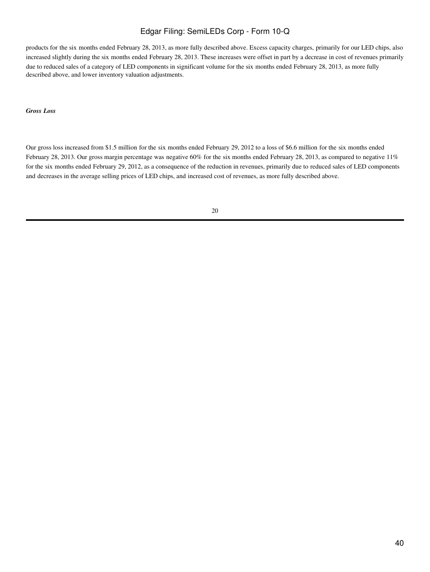products for the six months ended February 28, 2013, as more fully described above. Excess capacity charges, primarily for our LED chips, also increased slightly during the six months ended February 28, 2013. These increases were offset in part by a decrease in cost of revenues primarily due to reduced sales of a category of LED components in significant volume for the six months ended February 28, 2013, as more fully described above, and lower inventory valuation adjustments.

### *Gross Loss*

Our gross loss increased from \$1.5 million for the six months ended February 29, 2012 to a loss of \$6.6 million for the six months ended February 28, 2013. Our gross margin percentage was negative 60% for the six months ended February 28, 2013, as compared to negative 11% for the six months ended February 29, 2012, as a consequence of the reduction in revenues, primarily due to reduced sales of LED components and decreases in the average selling prices of LED chips, and increased cost of revenues, as more fully described above.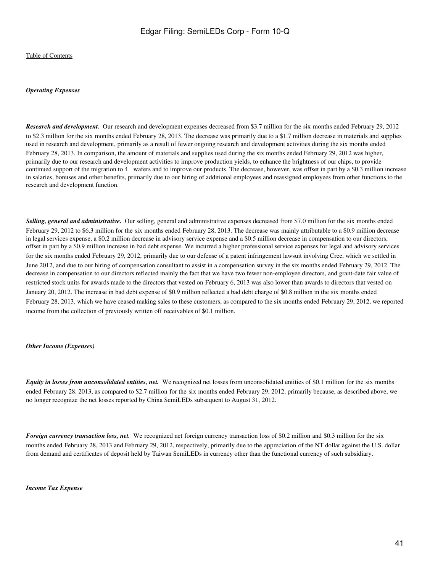### *Operating Expenses*

*Research and development.* Our research and development expenses decreased from \$3.7 million for the six months ended February 29, 2012 to \$2.3 million for the six months ended February 28, 2013. The decrease was primarily due to a \$1.7 million decrease in materials and supplies used in research and development, primarily as a result of fewer ongoing research and development activities during the six months ended February 28, 2013. In comparison, the amount of materials and supplies used during the six months ended February 29, 2012 was higher, primarily due to our research and development activities to improve production yields, to enhance the brightness of our chips, to provide continued support of the migration to 4 wafers and to improve our products. The decrease, however, was offset in part by a \$0.3 million increase in salaries, bonuses and other benefits, primarily due to our hiring of additional employees and reassigned employees from other functions to the research and development function.

*Selling, general and administrative.* Our selling, general and administrative expenses decreased from \$7.0 million for the six months ended February 29, 2012 to \$6.3 million for the six months ended February 28, 2013. The decrease was mainly attributable to a \$0.9 million decrease in legal services expense, a \$0.2 million decrease in advisory service expense and a \$0.5 million decrease in compensation to our directors, offset in part by a \$0.9 million increase in bad debt expense. We incurred a higher professional service expenses for legal and advisory services for the six months ended February 29, 2012, primarily due to our defense of a patent infringement lawsuit involving Cree, which we settled in June 2012, and due to our hiring of compensation consultant to assist in a compensation survey in the six months ended February 29, 2012. The decrease in compensation to our directors reflected mainly the fact that we have two fewer non-employee directors, and grant-date fair value of restricted stock units for awards made to the directors that vested on February 6, 2013 was also lower than awards to directors that vested on January 20, 2012. The increase in bad debt expense of \$0.9 million reflected a bad debt charge of \$0.8 million in the six months ended February 28, 2013, which we have ceased making sales to these customers, as compared to the six months ended February 29, 2012, we reported income from the collection of previously written off receivables of \$0.1 million.

#### *Other Income (Expenses)*

*Equity in losses from unconsolidated entities, net.* We recognized net losses from unconsolidated entities of \$0.1 million for the six months ended February 28, 2013, as compared to \$2.7 million for the six months ended February 29, 2012, primarily because, as described above, we no longer recognize the net losses reported by China SemiLEDs subsequent to August 31, 2012.

*Foreign currency transaction loss, net.* We recognized net foreign currency transaction loss of \$0.2 million and \$0.3 million for the six months ended February 28, 2013 and February 29, 2012, respectively, primarily due to the appreciation of the NT dollar against the U.S. dollar from demand and certificates of deposit held by Taiwan SemiLEDs in currency other than the functional currency of such subsidiary.

*Income Tax Expense*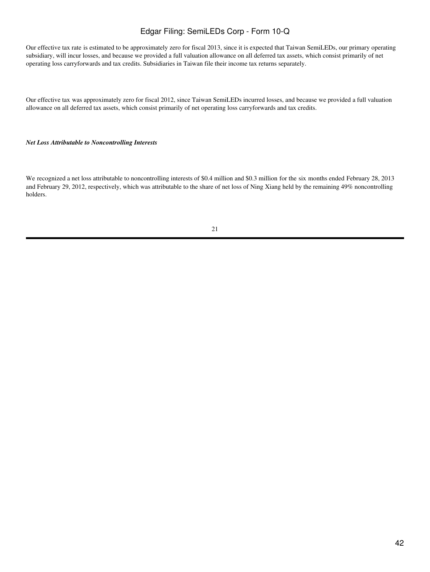Our effective tax rate is estimated to be approximately zero for fiscal 2013, since it is expected that Taiwan SemiLEDs, our primary operating subsidiary, will incur losses, and because we provided a full valuation allowance on all deferred tax assets, which consist primarily of net operating loss carryforwards and tax credits. Subsidiaries in Taiwan file their income tax returns separately.

Our effective tax was approximately zero for fiscal 2012, since Taiwan SemiLEDs incurred losses, and because we provided a full valuation allowance on all deferred tax assets, which consist primarily of net operating loss carryforwards and tax credits.

### *Net Loss Attributable to Noncontrolling Interests*

We recognized a net loss attributable to noncontrolling interests of \$0.4 million and \$0.3 million for the six months ended February 28, 2013 and February 29, 2012, respectively, which was attributable to the share of net loss of Ning Xiang held by the remaining 49% noncontrolling holders.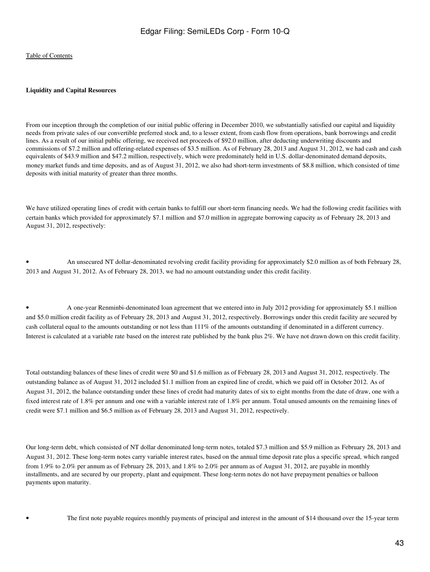### **Liquidity and Capital Resources**

From our inception through the completion of our initial public offering in December 2010, we substantially satisfied our capital and liquidity needs from private sales of our convertible preferred stock and, to a lesser extent, from cash flow from operations, bank borrowings and credit lines. As a result of our initial public offering, we received net proceeds of \$92.0 million, after deducting underwriting discounts and commissions of \$7.2 million and offering-related expenses of \$3.5 million. As of February 28, 2013 and August 31, 2012, we had cash and cash equivalents of \$43.9 million and \$47.2 million, respectively, which were predominately held in U.S. dollar-denominated demand deposits, money market funds and time deposits, and as of August 31, 2012, we also had short-term investments of \$8.8 million, which consisted of time deposits with initial maturity of greater than three months.

We have utilized operating lines of credit with certain banks to fulfill our short-term financing needs. We had the following credit facilities with certain banks which provided for approximately \$7.1 million and \$7.0 million in aggregate borrowing capacity as of February 28, 2013 and August 31, 2012, respectively:

• An unsecured NT dollar-denominated revolving credit facility providing for approximately \$2.0 million as of both February 28, 2013 and August 31, 2012. As of February 28, 2013, we had no amount outstanding under this credit facility.

• A one-year Renminbi-denominated loan agreement that we entered into in July 2012 providing for approximately \$5.1 million and \$5.0 million credit facility as of February 28, 2013 and August 31, 2012, respectively. Borrowings under this credit facility are secured by cash collateral equal to the amounts outstanding or not less than 111% of the amounts outstanding if denominated in a different currency. Interest is calculated at a variable rate based on the interest rate published by the bank plus 2%. We have not drawn down on this credit facility.

Total outstanding balances of these lines of credit were \$0 and \$1.6 million as of February 28, 2013 and August 31, 2012, respectively. The outstanding balance as of August 31, 2012 included \$1.1 million from an expired line of credit, which we paid off in October 2012. As of August 31, 2012, the balance outstanding under these lines of credit had maturity dates of six to eight months from the date of draw, one with a fixed interest rate of 1.8% per annum and one with a variable interest rate of 1.8% per annum. Total unused amounts on the remaining lines of credit were \$7.1 million and \$6.5 million as of February 28, 2013 and August 31, 2012, respectively.

Our long-term debt, which consisted of NT dollar denominated long-term notes, totaled \$7.3 million and \$5.9 million as February 28, 2013 and August 31, 2012. These long-term notes carry variable interest rates, based on the annual time deposit rate plus a specific spread, which ranged from 1.9% to 2.0% per annum as of February 28, 2013, and 1.8% to 2.0% per annum as of August 31, 2012, are payable in monthly installments, and are secured by our property, plant and equipment. These long-term notes do not have prepayment penalties or balloon payments upon maturity.

• The first note payable requires monthly payments of principal and interest in the amount of \$14 thousand over the 15-year term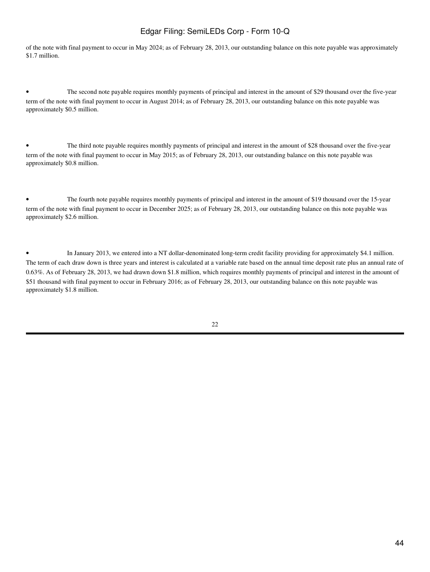of the note with final payment to occur in May 2024; as of February 28, 2013, our outstanding balance on this note payable was approximately \$1.7 million.

• The second note payable requires monthly payments of principal and interest in the amount of \$29 thousand over the five-year term of the note with final payment to occur in August 2014; as of February 28, 2013, our outstanding balance on this note payable was approximately \$0.5 million.

• The third note payable requires monthly payments of principal and interest in the amount of \$28 thousand over the five-year term of the note with final payment to occur in May 2015; as of February 28, 2013, our outstanding balance on this note payable was approximately \$0.8 million.

• The fourth note payable requires monthly payments of principal and interest in the amount of \$19 thousand over the 15-year term of the note with final payment to occur in December 2025; as of February 28, 2013, our outstanding balance on this note payable was approximately \$2.6 million.

• In January 2013, we entered into a NT dollar-denominated long-term credit facility providing for approximately \$4.1 million. The term of each draw down is three years and interest is calculated at a variable rate based on the annual time deposit rate plus an annual rate of 0.63%. As of February 28, 2013, we had drawn down \$1.8 million, which requires monthly payments of principal and interest in the amount of \$51 thousand with final payment to occur in February 2016; as of February 28, 2013, our outstanding balance on this note payable was approximately \$1.8 million.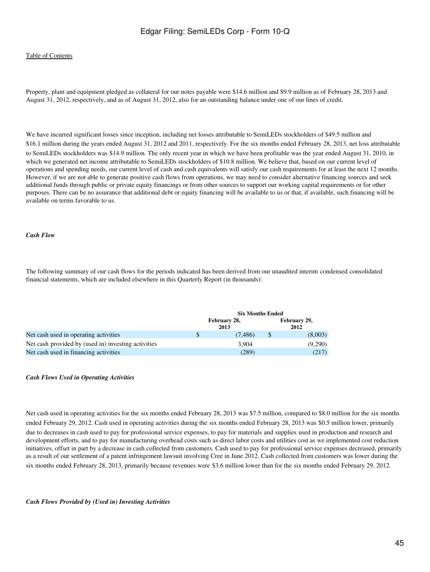### [Table of Contents](#page-2-0)

Property, plant and equipment pledged as collateral for our notes payable were \$14.6 million and \$9.9 million as of February 28, 2013 and August 31, 2012, respectively, and as of August 31, 2012, also for an outstanding balance under one of our lines of credit.

We have incurred significant losses since inception, including net losses attributable to SemiLEDs stockholders of \$49.5 million and \$16.1 million during the years ended August 31, 2012 and 2011, respectively. For the six months ended February 28, 2013, net loss attributable to SemiLEDs stockholders was \$14.9 million. The only recent year in which we have been profitable was the year ended August 31, 2010, in which we generated net income attributable to SemiLEDs stockholders of \$10.8 million. We believe that, based on our current level of operations and spending needs, our current level of cash and cash equivalents will satisfy our cash requirements for at least the next 12 months. However, if we are not able to generate positive cash flows from operations, we may need to consider alternative financing sources and seek additional funds through public or private equity financings or from other sources to support our working capital requirements or for other purposes. There can be no assurance that additional debt or equity financing will be available to us or that, if available, such financing will be available on terms favorable to us.

#### *Cash Flow*

The following summary of our cash flows for the periods indicated has been derived from our unaudited interim condensed consolidated financial statements, which are included elsewhere in this Quarterly Report (in thousands):

|                                                     | <b>Six Months Ended</b> |                      |    |                      |  |
|-----------------------------------------------------|-------------------------|----------------------|----|----------------------|--|
|                                                     |                         | February 28,<br>2013 |    | February 29,<br>2012 |  |
| Net cash used in operating activities               | S                       | (7.486)              | \$ | (8,003)              |  |
| Net cash provided by (used in) investing activities |                         | 3.904                |    | (9,290)              |  |
| Net cash used in financing activities               |                         | (289)                |    | (217)                |  |

#### *Cash Flows Used in Operating Activities*

Net cash used in operating activities for the six months ended February 28, 2013 was \$7.5 million, compared to \$8.0 million for the six months ended February 29, 2012. Cash used in operating activities during the six months ended February 28, 2013 was \$0.5 million lower, primarily due to decreases in cash used to pay for professional service expenses, to pay for materials and supplies used in production and research and development efforts, and to pay for manufacturing overhead costs such as direct labor costs and utilities cost as we implemented cost reduction initiatives, offset in part by a decrease in cash collected from customers. Cash used to pay for professional service expenses decreased, primarily as a result of our settlement of a patent infringement lawsuit involving Cree in June 2012. Cash collected from customers was lower during the six months ended February 28, 2013, primarily because revenues were \$3.6 million lower than for the six months ended February 29, 2012.

#### *Cash Flows Provided by (Used in) Investing Activities*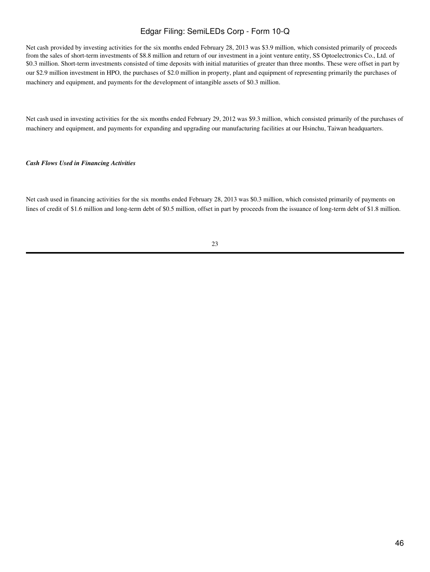Net cash provided by investing activities for the six months ended February 28, 2013 was \$3.9 million, which consisted primarily of proceeds from the sales of short-term investments of \$8.8 million and return of our investment in a joint venture entity, SS Optoelectronics Co., Ltd. of \$0.3 million. Short-term investments consisted of time deposits with initial maturities of greater than three months. These were offset in part by our \$2.9 million investment in HPO, the purchases of \$2.0 million in property, plant and equipment of representing primarily the purchases of machinery and equipment, and payments for the development of intangible assets of \$0.3 million.

Net cash used in investing activities for the six months ended February 29, 2012 was \$9.3 million, which consisted primarily of the purchases of machinery and equipment, and payments for expanding and upgrading our manufacturing facilities at our Hsinchu, Taiwan headquarters.

### *Cash Flows Used in Financing Activities*

Net cash used in financing activities for the six months ended February 28, 2013 was \$0.3 million, which consisted primarily of payments on lines of credit of \$1.6 million and long-term debt of \$0.5 million, offset in part by proceeds from the issuance of long-term debt of \$1.8 million.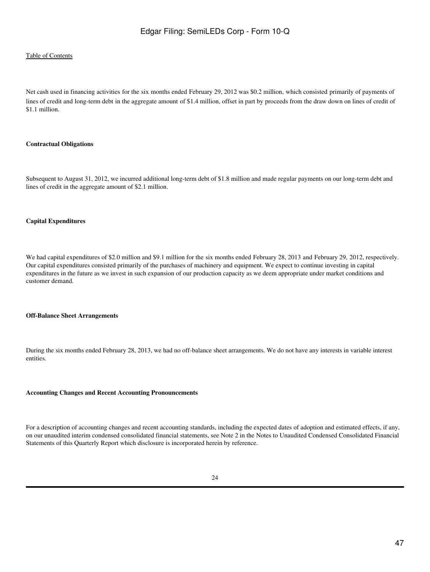### [Table of Contents](#page-2-0)

Net cash used in financing activities for the six months ended February 29, 2012 was \$0.2 million, which consisted primarily of payments of lines of credit and long-term debt in the aggregate amount of \$1.4 million, offset in part by proceeds from the draw down on lines of credit of \$1.1 million.

### **Contractual Obligations**

Subsequent to August 31, 2012, we incurred additional long-term debt of \$1.8 million and made regular payments on our long-term debt and lines of credit in the aggregate amount of \$2.1 million.

### **Capital Expenditures**

We had capital expenditures of \$2.0 million and \$9.1 million for the six months ended February 28, 2013 and February 29, 2012, respectively. Our capital expenditures consisted primarily of the purchases of machinery and equipment. We expect to continue investing in capital expenditures in the future as we invest in such expansion of our production capacity as we deem appropriate under market conditions and customer demand.

#### **Off-Balance Sheet Arrangements**

During the six months ended February 28, 2013, we had no off-balance sheet arrangements. We do not have any interests in variable interest entities.

#### **Accounting Changes and Recent Accounting Pronouncements**

For a description of accounting changes and recent accounting standards, including the expected dates of adoption and estimated effects, if any, on our unaudited interim condensed consolidated financial statements, see Note 2 in the Notes to Unaudited Condensed Consolidated Financial Statements of this Quarterly Report which disclosure is incorporated herein by reference.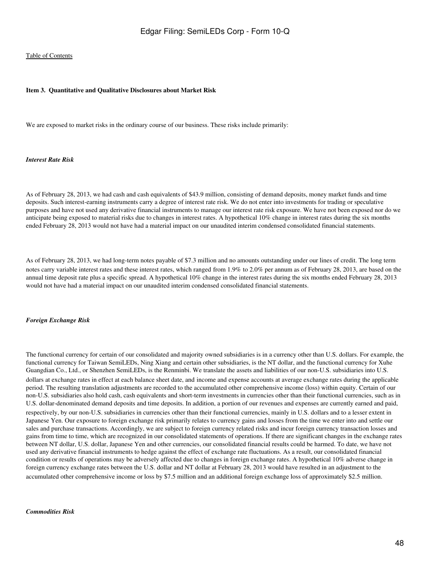### <span id="page-47-0"></span>**Item 3. Quantitative and Qualitative Disclosures about Market Risk**

We are exposed to market risks in the ordinary course of our business. These risks include primarily:

### *Interest Rate Risk*

As of February 28, 2013, we had cash and cash equivalents of \$43.9 million, consisting of demand deposits, money market funds and time deposits. Such interest-earning instruments carry a degree of interest rate risk. We do not enter into investments for trading or speculative purposes and have not used any derivative financial instruments to manage our interest rate risk exposure. We have not been exposed nor do we anticipate being exposed to material risks due to changes in interest rates. A hypothetical 10% change in interest rates during the six months ended February 28, 2013 would not have had a material impact on our unaudited interim condensed consolidated financial statements.

As of February 28, 2013, we had long-term notes payable of \$7.3 million and no amounts outstanding under our lines of credit. The long term notes carry variable interest rates and these interest rates, which ranged from 1.9% to 2.0% per annum as of February 28, 2013, are based on the annual time deposit rate plus a specific spread. A hypothetical 10% change in the interest rates during the six months ended February 28, 2013 would not have had a material impact on our unaudited interim condensed consolidated financial statements.

#### *Foreign Exchange Risk*

The functional currency for certain of our consolidated and majority owned subsidiaries is in a currency other than U.S. dollars. For example, the functional currency for Taiwan SemiLEDs, Ning Xiang and certain other subsidiaries, is the NT dollar, and the functional currency for Xuhe Guangdian Co., Ltd., or Shenzhen SemiLEDs, is the Renminbi. We translate the assets and liabilities of our non-U.S. subsidiaries into U.S. dollars at exchange rates in effect at each balance sheet date, and income and expense accounts at average exchange rates during the applicable period. The resulting translation adjustments are recorded to the accumulated other comprehensive income (loss) within equity. Certain of our non-U.S. subsidiaries also hold cash, cash equivalents and short-term investments in currencies other than their functional currencies, such as in U.S. dollar-denominated demand deposits and time deposits. In addition, a portion of our revenues and expenses are currently earned and paid, respectively, by our non-U.S. subsidiaries in currencies other than their functional currencies, mainly in U.S. dollars and to a lesser extent in Japanese Yen. Our exposure to foreign exchange risk primarily relates to currency gains and losses from the time we enter into and settle our sales and purchase transactions. Accordingly, we are subject to foreign currency related risks and incur foreign currency transaction losses and gains from time to time, which are recognized in our consolidated statements of operations. If there are significant changes in the exchange rates between NT dollar, U.S. dollar, Japanese Yen and other currencies, our consolidated financial results could be harmed. To date, we have not used any derivative financial instruments to hedge against the effect of exchange rate fluctuations. As a result, our consolidated financial condition or results of operations may be adversely affected due to changes in foreign exchange rates. A hypothetical 10% adverse change in foreign currency exchange rates between the U.S. dollar and NT dollar at February 28, 2013 would have resulted in an adjustment to the accumulated other comprehensive income or loss by \$7.5 million and an additional foreign exchange loss of approximately \$2.5 million.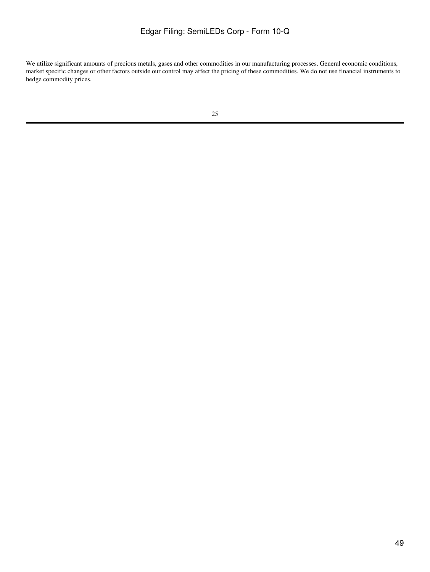We utilize significant amounts of precious metals, gases and other commodities in our manufacturing processes. General economic conditions, market specific changes or other factors outside our control may affect the pricing of these commodities. We do not use financial instruments to hedge commodity prices.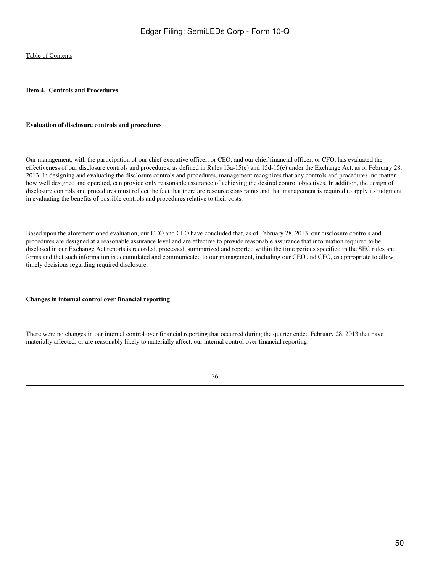### <span id="page-49-0"></span>**Item 4. Controls and Procedures**

### **Evaluation of disclosure controls and procedures**

Our management, with the participation of our chief executive officer, or CEO, and our chief financial officer, or CFO, has evaluated the effectiveness of our disclosure controls and procedures, as defined in Rules 13a-15(e) and 15d-15(e) under the Exchange Act, as of February 28, 2013. In designing and evaluating the disclosure controls and procedures, management recognizes that any controls and procedures, no matter how well designed and operated, can provide only reasonable assurance of achieving the desired control objectives. In addition, the design of disclosure controls and procedures must reflect the fact that there are resource constraints and that management is required to apply its judgment in evaluating the benefits of possible controls and procedures relative to their costs.

Based upon the aforementioned evaluation, our CEO and CFO have concluded that, as of February 28, 2013, our disclosure controls and procedures are designed at a reasonable assurance level and are effective to provide reasonable assurance that information required to be disclosed in our Exchange Act reports is recorded, processed, summarized and reported within the time periods specified in the SEC rules and forms and that such information is accumulated and communicated to our management, including our CEO and CFO, as appropriate to allow timely decisions regarding required disclosure.

#### **Changes in internal control over financial reporting**

There were no changes in our internal control over financial reporting that occurred during the quarter ended February 28, 2013 that have materially affected, or are reasonably likely to materially affect, our internal control over financial reporting.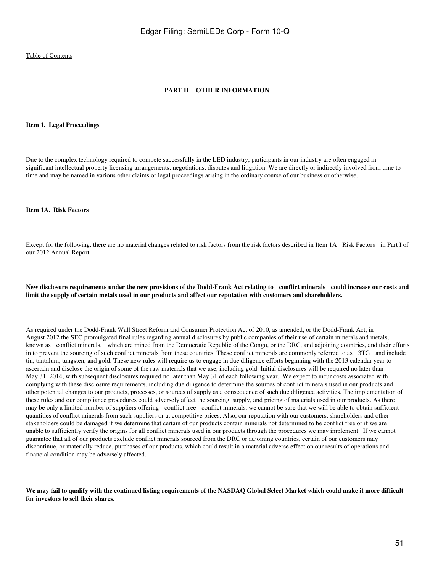### **PART II OTHER INFORMATION**

#### <span id="page-50-1"></span><span id="page-50-0"></span>**Item 1. Legal Proceedings**

Due to the complex technology required to compete successfully in the LED industry, participants in our industry are often engaged in significant intellectual property licensing arrangements, negotiations, disputes and litigation. We are directly or indirectly involved from time to time and may be named in various other claims or legal proceedings arising in the ordinary course of our business or otherwise.

### <span id="page-50-2"></span>**Item 1A. Risk Factors**

Except for the following, there are no material changes related to risk factors from the risk factors described in Item 1A Risk Factors in Part I of our 2012 Annual Report.

### **New disclosure requirements under the new provisions of the Dodd-Frank Act relating to conflict minerals could increase our costs and limit the supply of certain metals used in our products and affect our reputation with customers and shareholders.**

As required under the Dodd-Frank Wall Street Reform and Consumer Protection Act of 2010, as amended, or the Dodd-Frank Act, in August 2012 the SEC promulgated final rules regarding annual disclosures by public companies of their use of certain minerals and metals, known as conflict minerals, which are mined from the Democratic Republic of the Congo, or the DRC, and adjoining countries, and their efforts in to prevent the sourcing of such conflict minerals from these countries. These conflict minerals are commonly referred to as 3TG and include tin, tantalum, tungsten, and gold. These new rules will require us to engage in due diligence efforts beginning with the 2013 calendar year to ascertain and disclose the origin of some of the raw materials that we use, including gold. Initial disclosures will be required no later than May 31, 2014, with subsequent disclosures required no later than May 31 of each following year. We expect to incur costs associated with complying with these disclosure requirements, including due diligence to determine the sources of conflict minerals used in our products and other potential changes to our products, processes, or sources of supply as a consequence of such due diligence activities. The implementation of these rules and our compliance procedures could adversely affect the sourcing, supply, and pricing of materials used in our products. As there may be only a limited number of suppliers offering conflict free conflict minerals, we cannot be sure that we will be able to obtain sufficient quantities of conflict minerals from such suppliers or at competitive prices. Also, our reputation with our customers, shareholders and other stakeholders could be damaged if we determine that certain of our products contain minerals not determined to be conflict free or if we are unable to sufficiently verify the origins for all conflict minerals used in our products through the procedures we may implement. If we cannot guarantee that all of our products exclude conflict minerals sourced from the DRC or adjoining countries, certain of our customers may discontinue, or materially reduce, purchases of our products, which could result in a material adverse effect on our results of operations and financial condition may be adversely affected.

**We may fail to qualify with the continued listing requirements of the NASDAQ Global Select Market which could make it more difficult for investors to sell their shares.**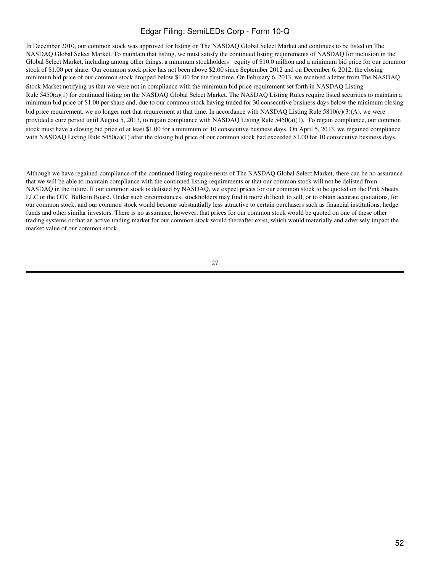In December 2010, our common stock was approved for listing on The NASDAQ Global Select Market and continues to be listed on The NASDAQ Global Select Market. To maintain that listing, we must satisfy the continued listing requirements of NASDAQ for inclusion in the Global Select Market, including among other things, a minimum stockholders equity of \$10.0 million and a minimum bid price for our common stock of \$1.00 per share. Our common stock price has not been above \$2.00 since September 2012 and on December 6, 2012, the closing minimum bid price of our common stock dropped below \$1.00 for the first time. On February 6, 2013, we received a letter from The NASDAQ Stock Market notifying us that we were not in compliance with the minimum bid price requirement set forth in NASDAQ Listing Rule 5450(a)(1) for continued listing on the NASDAQ Global Select Market. The NASDAQ Listing Rules require listed securities to maintain a minimum bid price of \$1.00 per share and, due to our common stock having traded for 30 consecutive business days below the minimum closing bid price requirement, we no longer met that requirement at that time. In accordance with NASDAQ Listing Rule 5810(c)(3)(A), we were provided a cure period until August 5, 2013, to regain compliance with NASDAQ Listing Rule 5450(a)(1). To regain compliance, our common stock must have a closing bid price of at least \$1.00 for a minimum of 10 consecutive business days. On April 5, 2013, we regained compliance with NASDAQ Listing Rule 5450(a)(1) after the closing bid price of our common stock had exceeded \$1.00 for 10 consecutive business days.

Although we have regained compliance of the continued listing requirements of The NASDAQ Global Select Market, there can be no assurance that we will be able to maintain compliance with the continued listing requirements or that our common stock will not be delisted from NASDAQ in the future. If our common stock is delisted by NASDAQ, we expect prices for our common stock to be quoted on the Pink Sheets LLC or the OTC Bulletin Board. Under such circumstances, stockholders may find it more difficult to sell, or to obtain accurate quotations, for our common stock, and our common stock would become substantially less attractive to certain purchasers such as financial institutions, hedge funds and other similar investors. There is no assurance, however, that prices for our common stock would be quoted on one of these other trading systems or that an active trading market for our common stock would thereafter exist, which would materially and adversely impact the market value of our common stock.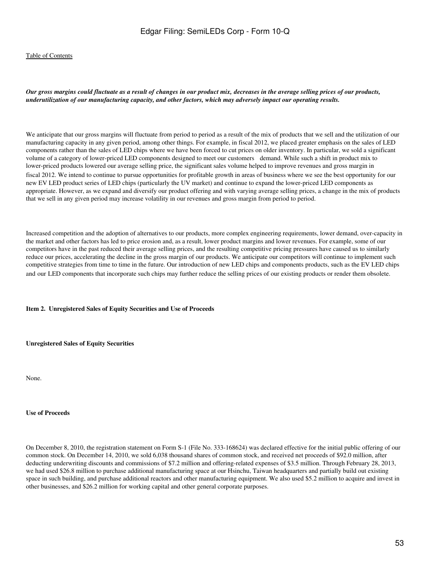*Our gross margins could fluctuate as a result of changes in our product mix, decreases in the average selling prices of our products, underutilization of our manufacturing capacity, and other factors, which may adversely impact our operating results.*

We anticipate that our gross margins will fluctuate from period to period as a result of the mix of products that we sell and the utilization of our manufacturing capacity in any given period, among other things. For example, in fiscal 2012, we placed greater emphasis on the sales of LED components rather than the sales of LED chips where we have been forced to cut prices on older inventory. In particular, we sold a significant volume of a category of lower-priced LED components designed to meet our customers demand. While such a shift in product mix to lower-priced products lowered our average selling price, the significant sales volume helped to improve revenues and gross margin in fiscal 2012. We intend to continue to pursue opportunities for profitable growth in areas of business where we see the best opportunity for our new EV LED product series of LED chips (particularly the UV market) and continue to expand the lower-priced LED components as appropriate. However, as we expand and diversify our product offering and with varying average selling prices, a change in the mix of products that we sell in any given period may increase volatility in our revenues and gross margin from period to period.

Increased competition and the adoption of alternatives to our products, more complex engineering requirements, lower demand, over-capacity in the market and other factors has led to price erosion and, as a result, lower product margins and lower revenues. For example, some of our competitors have in the past reduced their average selling prices, and the resulting competitive pricing pressures have caused us to similarly reduce our prices, accelerating the decline in the gross margin of our products. We anticipate our competitors will continue to implement such competitive strategies from time to time in the future. Our introduction of new LED chips and components products, such as the EV LED chips and our LED components that incorporate such chips may further reduce the selling prices of our existing products or render them obsolete.

#### <span id="page-52-0"></span>**Item 2. Unregistered Sales of Equity Securities and Use of Proceeds**

#### **Unregistered Sales of Equity Securities**

None.

### **Use of Proceeds**

On December 8, 2010, the registration statement on Form S-1 (File No. 333-168624) was declared effective for the initial public offering of our common stock. On December 14, 2010, we sold 6,038 thousand shares of common stock, and received net proceeds of \$92.0 million, after deducting underwriting discounts and commissions of \$7.2 million and offering-related expenses of \$3.5 million. Through February 28, 2013, we had used \$26.8 million to purchase additional manufacturing space at our Hsinchu, Taiwan headquarters and partially build out existing space in such building, and purchase additional reactors and other manufacturing equipment. We also used \$5.2 million to acquire and invest in other businesses, and \$26.2 million for working capital and other general corporate purposes.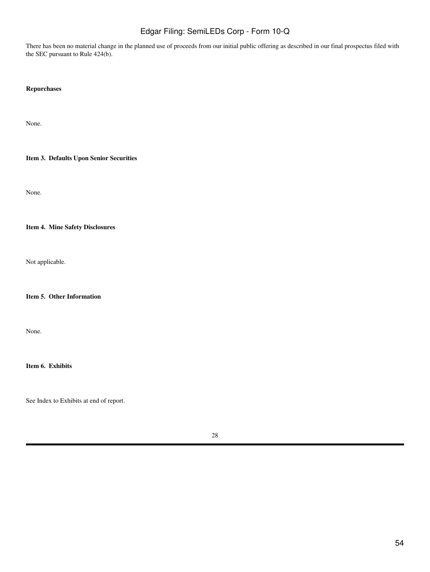There has been no material change in the planned use of proceeds from our initial public offering as described in our final prospectus filed with the SEC pursuant to Rule 424(b).

### **Repurchases**

None.

### <span id="page-53-0"></span>**Item 3. Defaults Upon Senior Securities**

None.

### <span id="page-53-1"></span>**Item 4. Mine Safety Disclosures**

Not applicable.

### <span id="page-53-2"></span>**Item 5. Other Information**

None.

### <span id="page-53-3"></span>**Item 6. Exhibits**

See Index to Exhibits at end of report.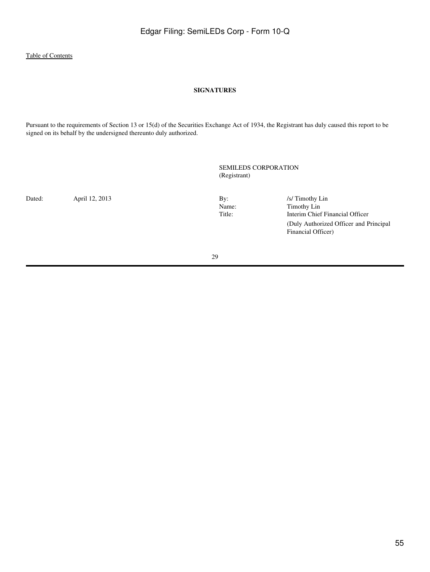### **SIGNATURES**

<span id="page-54-0"></span>Pursuant to the requirements of Section 13 or 15(d) of the Securities Exchange Act of 1934, the Registrant has duly caused this report to be signed on its behalf by the undersigned thereunto duly authorized.

> SEMILEDS CORPORATION (Registrant)

Dated: April 12, 2013 By: /s/ Timothy Lin Name: /s/ Timothy Lin Name: /s/ Timothy Lin Name: /s/ Timothy Lin Name: /// Name: Timothy Lin<br>Title: Timothy Lin<br>Interim Chief Interim Chief Financial Officer (Duly Authorized Officer and Principal Financial Officer)